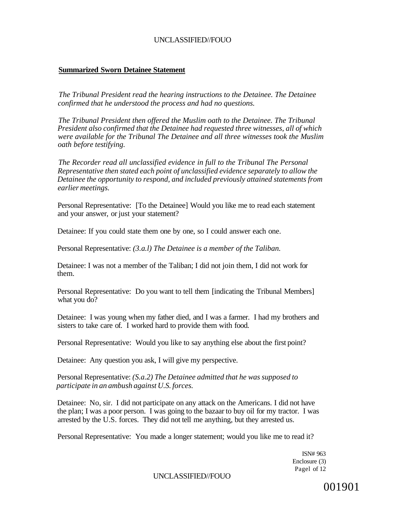### **Summarized Sworn Detainee Statement**

*The Tribunal President read the hearing instructions to the Detainee. The Detainee confirmed that he understood the process and had no questions.* 

*The Tribunal President then offered the Muslim oath to the Detainee. The Tribunal President also confirmed that the Detainee had requested three witnesses, all of which were available for the Tribunal The Detainee and all three witnesses took the Muslim oath before testifying.* 

*The Recorder read all unclassified evidence in full to the Tribunal The Personal Representative then stated each point of unclassified evidence separately to allow the Detainee the opportunity to respond, and included previously attained statements from earlier meetings.* 

Personal Representative: [To the Detainee] Would you like me to read each statement and your answer, or just your statement?

Detainee: If you could state them one by one, so I could answer each one.

Personal Representative: *(3.a.l) The Detainee is a member of the Taliban.* 

Detainee: I was not a member of the Taliban; I did not join them, I did not work for them.

Personal Representative: Do you want to tell them [indicating the Tribunal Members] what you do?

Detainee: I was young when my father died, and I was a farmer. I had my brothers and sisters to take care of. I worked hard to provide them with food.

Personal Representative: Would you like to say anything else about the first point?

Detainee: Any question you ask, I will give my perspective.

Personal Representative: *(S.a.2) The Detainee admitted that he was supposed to participate in an ambush against U.S. forces.* 

Detainee: No, sir. I did not participate on any attack on the Americans. I did not have the plan; I was a poor person. I was going to the bazaar to buy oil for my tractor. I was arrested by the U.S. forces. They did not tell me anything, but they arrested us.

Personal Representative: You made a longer statement; would you like me to read it?

ISN# 963 Enclosure (3) Pagel of 12

UNCLASSIFIED//FOUO

001901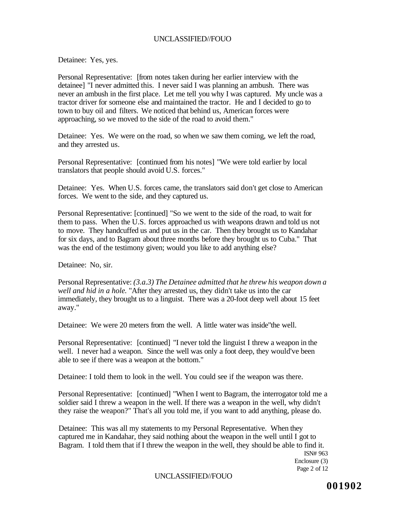Detainee: Yes, yes.

Personal Representative: [from notes taken during her earlier interview with the detainee] "I never admitted this. I never said I was planning an ambush. There was never an ambush in the first place. Let me tell you why I was captured. My uncle was a tractor driver for someone else and maintained the tractor. He and I decided to go to town to buy oil and filters. We noticed that behind us, American forces were approaching, so we moved to the side of the road to avoid them."

Detainee: Yes. We were on the road, so when we saw them coming, we left the road, and they arrested us.

Personal Representative: [continued from his notes] "We were told earlier by local translators that people should avoid U.S. forces."

Detainee: Yes. When U.S. forces came, the translators said don't get close to American forces. We went to the side, and they captured us.

Personal Representative: [continued] "So we went to the side of the road, to wait for them to pass. When the U.S. forces approached us with weapons drawn and told us not to move. They handcuffed us and put us in the car. Then they brought us to Kandahar for six days, and to Bagram about three months before they brought us to Cuba." That was the end of the testimony given; would you like to add anything else?

Detainee: No, sir.

Personal Representative: *(3.a.3) The Detainee admitted that he threw his weapon down a well and hid in a hole.* "After they arrested us, they didn't take us into the car immediately, they brought us to a linguist. There was a 20-foot deep well about 15 feet away."

Detainee: We were 20 meters from the well. A little water was inside"the well.

Personal Representative: [continued] "I never told the linguist I threw a weapon in the well. I never had a weapon. Since the well was only a foot deep, they would've been able to see if there was a weapon at the bottom."

Detainee: I told them to look in the well. You could see if the weapon was there.

Personal Representative: [continued] "When I went to Bagram, the interrogator told me a soldier said I threw a weapon in the well. If there was a weapon in the well, why didn't they raise the weapon?" That's all you told me, if you want to add anything, please do.

Detainee: This was all my statements to my Personal Representative. When they captured me in Kandahar, they said nothing about the weapon in the well until I got to Bagram. I told them that if I threw the weapon in the well, they should be able to find it.

ISN# 963 Enclosure (3) Page 2 of 12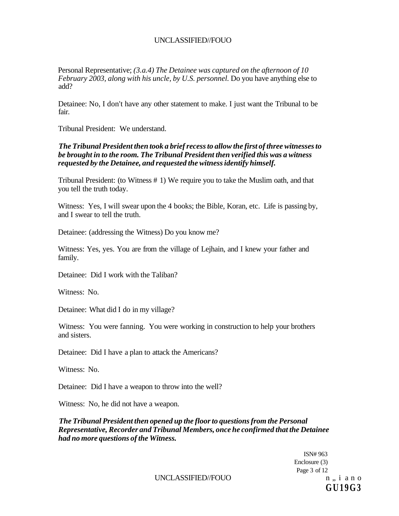Personal Representative; *(3.a.4) The Detainee was captured on the afternoon of 10 February 2003, along with his uncle, by U.S. personnel.* Do you have anything else to add?

Detainee: No, I don't have any other statement to make. I just want the Tribunal to be fair.

Tribunal President: We understand.

*The Tribunal President then took a brief recess to allow the first of three witnesses to be brought in to the room. The Tribunal President then verified this was a witness requested by the Detainee, and requested the witness identify himself.* 

Tribunal President: (to Witness # 1) We require you to take the Muslim oath, and that you tell the truth today.

Witness: Yes, I will swear upon the 4 books; the Bible, Koran, etc. Life is passing by, and I swear to tell the truth.

Detainee: (addressing the Witness) Do you know me?

Witness: Yes, yes. You are from the village of Lejhain, and I knew your father and family.

Detainee: Did I work with the Taliban?

Witness: No.

Detainee: What did I do in my village?

Witness: You were fanning. You were working in construction to help your brothers and sisters.

Detainee: Did I have a plan to attack the Americans?

Witness: No.

Detainee: Did I have a weapon to throw into the well?

Witness: No, he did not have a weapon.

*The Tribunal President then opened up the floor to questions from the Personal Representative, Recorder and Tribunal Members, once he confirmed that the Detainee had no more questions of the Witness.* 

> ISN# 963 Enclosure (3) Page 3 of 12 **GU19G3**

 $UNCLASSIFIED/FOUO$  n, i a n o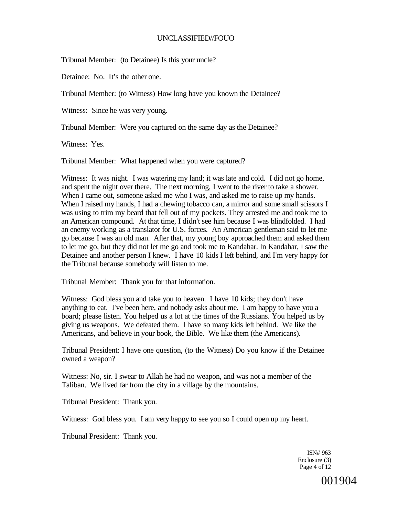Tribunal Member: (to Detainee) Is this your uncle?

Detainee: No. It's the other one.

Tribunal Member: (to Witness) How long have you known the Detainee?

Witness: Since he was very young.

Tribunal Member: Were you captured on the same day as the Detainee?

Witness: Yes.

Tribunal Member: What happened when you were captured?

Witness: It was night. I was watering my land; it was late and cold. I did not go home, and spent the night over there. The next morning, I went to the river to take a shower. When I came out, someone asked me who I was, and asked me to raise up my hands. When I raised my hands, I had a chewing tobacco can, a mirror and some small scissors I was using to trim my beard that fell out of my pockets. They arrested me and took me to an American compound. At that time, I didn't see him because I was blindfolded. I had an enemy working as a translator for U.S. forces. An American gentleman said to let me go because I was an old man. After that, my young boy approached them and asked them to let me go, but they did not let me go and took me to Kandahar. In Kandahar, I saw the Detainee and another person I knew. I have 10 kids I left behind, and I'm very happy for the Tribunal because somebody will listen to me.

Tribunal Member: Thank you for that information.

Witness: God bless you and take you to heaven. I have 10 kids; they don't have anything to eat. I've been here, and nobody asks about me. I am happy to have you a board; please listen. You helped us a lot at the times of the Russians. You helped us by giving us weapons. We defeated them. I have so many kids left behind. We like the Americans, and believe in your book, the Bible. We like them (the Americans).

Tribunal President: I have one question, (to the Witness) Do you know if the Detainee owned a weapon?

Witness: No, sir. I swear to Allah he had no weapon, and was not a member of the Taliban. We lived far from the city in a village by the mountains.

Tribunal President: Thank you.

Witness: God bless you. I am very happy to see you so I could open up my heart.

Tribunal President: Thank you.

ISN# 963 Enclosure (3) Page 4 of 12

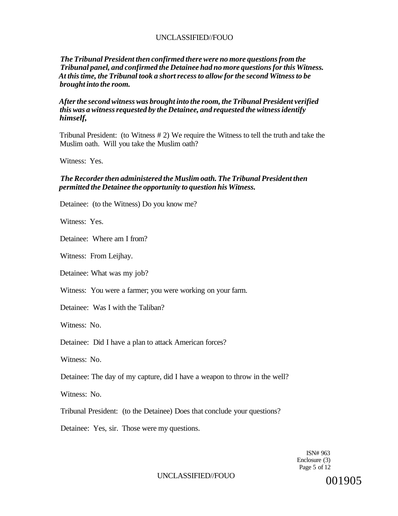### *The Tribunal President then confirmed there were no more questions from the Tribunal panel, and confirmed the Detainee had no more questions for this Witness. At this time, the Tribunal took a short recess to allow for the second Witness to be brought into the room.*

#### *After the second witness was brought into the room, the Tribunal President verified this was a witness requested by the Detainee, and requested the witness identify himself,*

Tribunal President: (to Witness # 2) We require the Witness to tell the truth and take the Muslim oath. Will you take the Muslim oath?

Witness: Yes.

### *The Recorder then administered the Muslim oath. The Tribunal President then permitted the Detainee the opportunity to question his Witness.*

Detainee: (to the Witness) Do you know me?

Witness: Yes.

Detainee: Where am I from?

Witness: From Leijhay.

Detainee: What was my job?

Witness: You were a farmer; you were working on your farm.

Detainee: Was I with the Taliban?

Witness: No.

Detainee: Did I have a plan to attack American forces?

Witness: No.

Detainee: The day of my capture, did I have a weapon to throw in the well?

Witness: No.

Tribunal President: (to the Detainee) Does that conclude your questions?

Detainee: Yes, sir. Those were my questions.

ISN# 963 Enclosure (3) Page 5 of 12

UNCLASSIFIED//FOUO

001905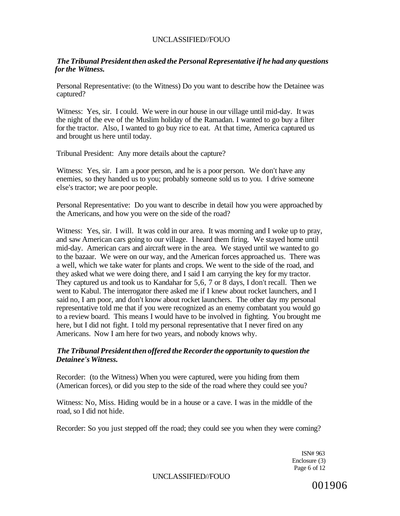### *The Tribunal President then asked the Personal Representative if he had any questions for the Witness.*

Personal Representative: (to the Witness) Do you want to describe how the Detainee was captured?

Witness: Yes, sir. I could. We were in our house in our village until mid-day. It was the night of the eve of the Muslim holiday of the Ramadan. I wanted to go buy a filter for the tractor. Also, I wanted to go buy rice to eat. At that time, America captured us and brought us here until today.

Tribunal President: Any more details about the capture?

Witness: Yes, sir. I am a poor person, and he is a poor person. We don't have any enemies, so they handed us to you; probably someone sold us to you. I drive someone else's tractor; we are poor people.

Personal Representative: Do you want to describe in detail how you were approached by the Americans, and how you were on the side of the road?

Witness: Yes, sir. I will. It was cold in our area. It was morning and I woke up to pray, and saw American cars going to our village. I heard them firing. We stayed home until mid-day. American cars and aircraft were in the area. We stayed until we wanted to go to the bazaar. We were on our way, and the American forces approached us. There was a well, which we take water for plants and crops. We went to the side of the road, and they asked what we were doing there, and I said I am carrying the key for my tractor. They captured us and took us to Kandahar for 5,6, 7 or 8 days, I don't recall. Then we went to Kabul. The interrogator there asked me if I knew about rocket launchers, and I said no, I am poor, and don't know about rocket launchers. The other day my personal representative told me that if you were recognized as an enemy combatant you would go to a review board. This means I would have to be involved in fighting. You brought me here, but I did not fight. I told my personal representative that I never fired on any Americans. Now I am here for two years, and nobody knows why.

### *The Tribunal President then offered the Recorder the opportunity to question the Detainee's Witness.*

Recorder: (to the Witness) When you were captured, were you hiding from them (American forces), or did you step to the side of the road where they could see you?

Witness: No, Miss. Hiding would be in a house or a cave. I was in the middle of the road, so I did not hide.

Recorder: So you just stepped off the road; they could see you when they were coming?

ISN# 963 Enclosure (3) Page 6 of 12

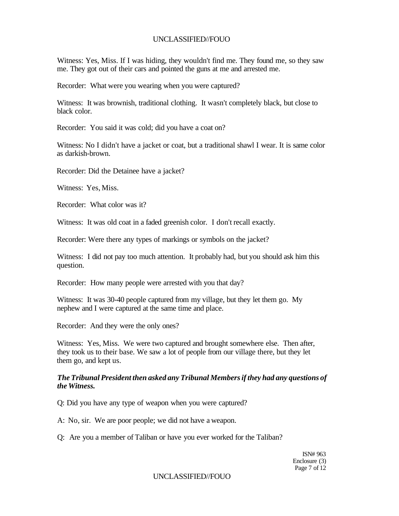Witness: Yes, Miss. If I was hiding, they wouldn't find me. They found me, so they saw me. They got out of their cars and pointed the guns at me and arrested me.

Recorder: What were you wearing when you were captured?

Witness: It was brownish, traditional clothing. It wasn't completely black, but close to black color.

Recorder: You said it was cold; did you have a coat on?

Witness: No I didn't have a jacket or coat, but a traditional shawl I wear. It is same color as darkish-brown.

Recorder: Did the Detainee have a jacket?

Witness: Yes, Miss.

Recorder: What color was it?

Witness: It was old coat in a faded greenish color. I don't recall exactly.

Recorder: Were there any types of markings or symbols on the jacket?

Witness: I did not pay too much attention. It probably had, but you should ask him this question.

Recorder: How many people were arrested with you that day?

Witness: It was 30-40 people captured from my village, but they let them go. My nephew and I were captured at the same time and place.

Recorder: And they were the only ones?

Witness: Yes, Miss. We were two captured and brought somewhere else. Then after, they took us to their base. We saw a lot of people from our village there, but they let them go, and kept us.

### *The Tribunal President then asked any Tribunal Members if they had any questions of the Witness.*

Q: Did you have any type of weapon when you were captured?

A: No, sir. We are poor people; we did not have a weapon.

Q: Are you a member of Taliban or have you ever worked for the Taliban?

ISN# 963 Enclosure (3) Page 7 of 12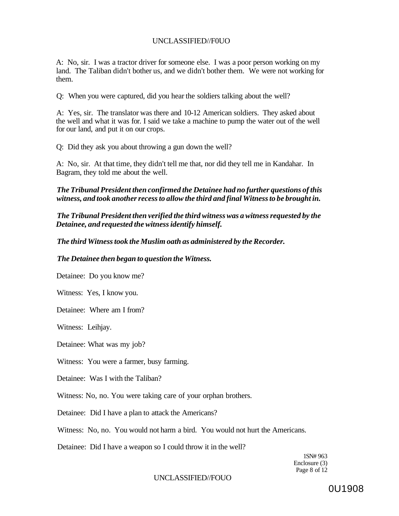A: No, sir. I was a tractor driver for someone else. I was a poor person working on my land. The Taliban didn't bother us, and we didn't bother them. We were not working for them.

Q: When you were captured, did you hear the soldiers talking about the well?

A: Yes, sir. The translator was there and 10-12 American soldiers. They asked about the well and what it was for. I said we take a machine to pump the water out of the well for our land, and put it on our crops.

Q: Did they ask you about throwing a gun down the well?

A: No, sir. At that time, they didn't tell me that, nor did they tell me in Kandahar. In Bagram, they told me about the well.

*The Tribunal President then confirmed the Detainee had no further questions of this witness, and took another recess to allow the third and final Witness to be brought in.* 

*The Tribunal President then verified the third witness was a witness requested by the Detainee, and requested the witness identify himself.* 

*The third Witness took the Muslim oath as administered by the Recorder.* 

*The Detainee then began to question the Witness.* 

Detainee: Do you know me?

Witness: Yes, I know you.

Detainee: Where am I from?

Witness: Leihjay.

Detainee: What was my job?

Witness: You were a farmer, busy farming.

Detainee: Was I with the Taliban?

Witness: No, no. You were taking care of your orphan brothers.

Detainee: Did I have a plan to attack the Americans?

Witness: No, no. You would not harm a bird. You would not hurt the Americans.

Detainee: Did I have a weapon so I could throw it in the well?

1SN# 963 Enclosure (3) Page 8 of 12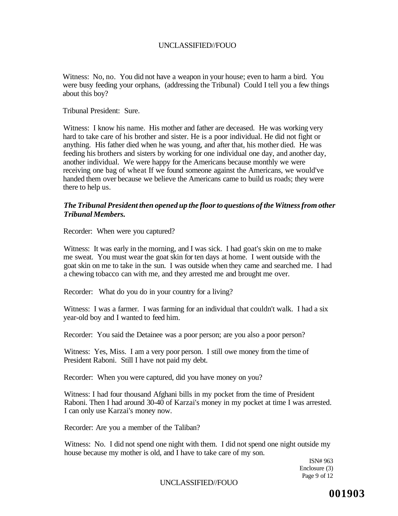Witness: No, no. You did not have a weapon in your house; even to harm a bird. You were busy feeding your orphans, (addressing the Tribunal) Could I tell you a few things about this boy?

Tribunal President: Sure.

Witness: I know his name. His mother and father are deceased. He was working very hard to take care of his brother and sister. He is a poor individual. He did not fight or anything. His father died when he was young, and after that, his mother died. He was feeding his brothers and sisters by working for one individual one day, and another day, another individual. We were happy for the Americans because monthly we were receiving one bag of wheat If we found someone against the Americans, we would've handed them over because we believe the Americans came to build us roads; they were there to help us.

### *The Tribunal President then opened up the floor to questions of the Witness from other Tribunal Members.*

Recorder: When were you captured?

Witness: It was early in the morning, and I was sick. I had goat's skin on me to make me sweat. You must wear the goat skin for ten days at home. I went outside with the goat skin on me to take in the sun. I was outside when they came and searched me. I had a chewing tobacco can with me, and they arrested me and brought me over.

Recorder: What do you do in your country for a living?

Witness: I was a farmer. I was farming for an individual that couldn't walk. I had a six year-old boy and I wanted to feed him.

Recorder: You said the Detainee was a poor person; are you also a poor person?

Witness: Yes, Miss. I am a very poor person. I still owe money from the time of President Raboni. Still I have not paid my debt.

Recorder: When you were captured, did you have money on you?

Witness: I had four thousand Afghani bills in my pocket from the time of President Raboni. Then I had around 30-40 of Karzai's money in my pocket at time I was arrested. I can only use Karzai's money now.

Recorder: Are you a member of the Taliban?

Witness: No. I did not spend one night with them. I did not spend one night outside my house because my mother is old, and I have to take care of my son.

> ISN# 963 Enclosure (3) Page 9 of 12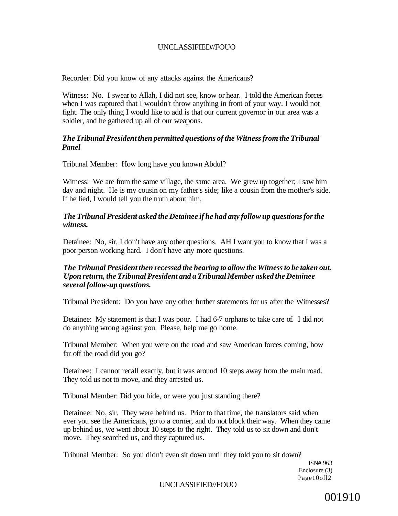Recorder: Did you know of any attacks against the Americans?

Witness: No. I swear to Allah, I did not see, know or hear. I told the American forces when I was captured that I wouldn't throw anything in front of your way. I would not fight. The only thing I would like to add is that our current governor in our area was a soldier, and he gathered up all of our weapons.

## *The Tribunal President then permitted questions of the Witness from the Tribunal Panel*

Tribunal Member: How long have you known Abdul?

Witness: We are from the same village, the same area. We grew up together; I saw him day and night. He is my cousin on my father's side; like a cousin from the mother's side. If he lied, I would tell you the truth about him.

## *The Tribunal President asked the Detainee if he had any follow up questions for the witness.*

Detainee: No, sir, I don't have any other questions. AH I want you to know that I was a poor person working hard. I don't have any more questions.

### *The Tribunal President then recessed the hearing to allow the Witness to be taken out. Upon return, the Tribunal President and a Tribunal Member asked the Detainee several follow-up questions.*

Tribunal President: Do you have any other further statements for us after the Witnesses?

Detainee: My statement is that I was poor. I had 6-7 orphans to take care of. I did not do anything wrong against you. Please, help me go home.

Tribunal Member: When you were on the road and saw American forces coming, how far off the road did you go?

Detainee: I cannot recall exactly, but it was around 10 steps away from the main road. They told us not to move, and they arrested us.

Tribunal Member: Did you hide, or were you just standing there?

Detainee: No, sir. They were behind us. Prior to that time, the translators said when ever you see the Americans, go to a corner, and do not block their way. When they came up behind us, we went about 10 steps to the right. They told us to sit down and don't move. They searched us, and they captured us.

Tribunal Member: So you didn't even sit down until they told you to sit down?

ISN# 963 Enclosure (3) Page10ofl2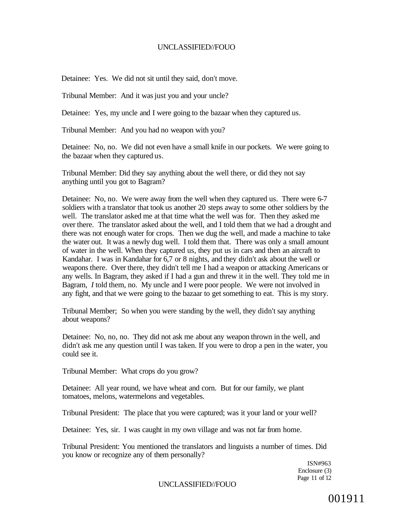Detainee: Yes. We did not sit until they said, don't move.

Tribunal Member: And it was just you and your uncle?

Detainee: Yes, my uncle and I were going to the bazaar when they captured us.

Tribunal Member: And you had no weapon with you?

Detainee: No, no. We did not even have a small knife in our pockets. We were going to the bazaar when they captured us.

Tribunal Member: Did they say anything about the well there, or did they not say anything until you got to Bagram?

Detainee: No, no. We were away from the well when they captured us. There were 6-7 soldiers with a translator that took us another 20 steps away to some other soldiers by the well. The translator asked me at that time what the well was for. Then they asked me over there. The translator asked about the well, and I told them that we had a drought and there was not enough water for crops. Then we dug the well, and made a machine to take the water out. It was a newly dug well. I told them that. There was only a small amount of water in the well. When they captured us, they put us in cars and then an aircraft to Kandahar. I was in Kandahar for 6,7 or 8 nights, and they didn't ask about the well or weapons there. Over there, they didn't tell me I had a weapon or attacking Americans or any wells. In Bagram, they asked if I had a gun and threw it in the well. They told me in Bagram, *I* told them, no. My uncle and I were poor people. We were not involved in any fight, and that we were going to the bazaar to get something to eat. This is my story.

Tribunal Member; So when you were standing by the well, they didn't say anything about weapons?

Detainee: No, no, no. They did not ask me about any weapon thrown in the well, and didn't ask me any question until I was taken. If you were to drop a pen in the water, you could see it.

Tribunal Member: What crops do you grow?

Detainee: All year round, we have wheat and corn. But for our family, we plant tomatoes, melons, watermelons and vegetables.

Tribunal President: The place that you were captured; was it your land or your well?

Detainee: Yes, sir. I was caught in my own village and was not far from home.

Tribunal President: You mentioned the translators and linguists a number of times. Did you know or recognize any of them personally?

> ISN#963 Enclosure (3) Page 11 of 12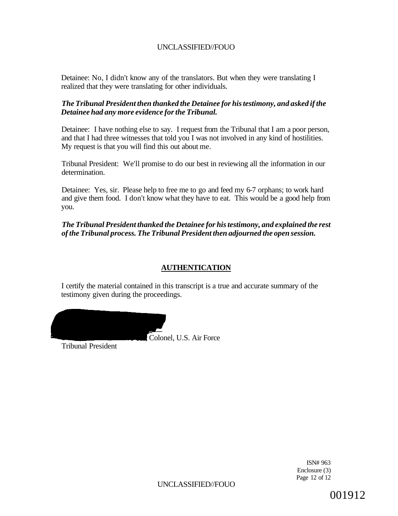Detainee: No, I didn't know any of the translators. But when they were translating I realized that they were translating for other individuals.

## *The Tribunal President then thanked the Detainee for his testimony, and asked if the Detainee had any more evidence for the Tribunal.*

Detainee: I have nothing else to say. I request from the Tribunal that I am a poor person, and that I had three witnesses that told you I was not involved in any kind of hostilities. My request is that you will find this out about me.

Tribunal President: We'll promise to do our best in reviewing all the information in our determination.

Detainee: Yes, sir. Please help to free me to go and feed my 6-7 orphans; to work hard and give them food. I don't know what they have to eat. This would be a good help from you.

*The Tribunal President thanked the Detainee for his testimony, and explained the rest of the Tribunal process. The Tribunal President then adjourned the open session.* 

# **AUTHENTICATION**

I certify the material contained in this transcript is a true and accurate summary of the testimony given during the proceedings.

Colonel, U.S. Air Force

Tribunal President

ISN# 963 Enclosure (3) Page 12 of 12

UNCLASSIFIED//FOUO

001912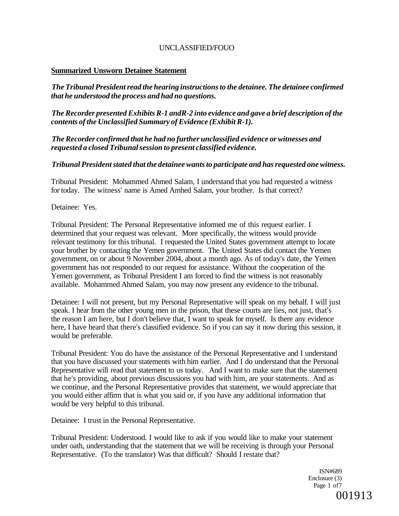### **Summarized Unsworn Detainee Statement**

*The Tribunal President read the hearing instructions to the detainee. The detainee confirmed that he understood the process and had no questions.* 

*The Recorder presented Exhibits R-1 andR-2 into evidence and gave a brief description of the contents of the Unclassified Summary of Evidence (Exhibit R-1).* 

*The Recorder confirmed that he had no further unclassified evidence or witnesses and requested a closed Tribunal session to present classified evidence.* 

### *Tribunal President stated that the detainee wants to participate and has requested one witness.*

Tribunal President: Mohammed Ahmed Salam, I understand that you had requested a witness for today. The witness' name is Amed Amhed Salam, your brother. Is that correct?

Detainee: Yes.

Tribunal President: The Personal Representative informed me of this request earlier. I determined that your request was relevant. More specifically, the witness would provide relevant testimony for this tribunal. I requested the United States government attempt to locate your brother by contacting the Yemen government. The United States did contact the Yemen government, on or about 9 November 2004, about a month ago. As of today's date, the Yemen government has not responded to our request for assistance. Without the cooperation of the Yemen government, as Tribunal President I am forced to find the witness is not reasonably available. Mohammed Ahmed Salam, you may now present any evidence to the tribunal.

Detainee: I will not present, but my Personal Representative will speak on my behalf. I will just speak. I hear from the other young men in the prison, that these courts are lies, not just, that's the reason I am here, but I don't believe that, I want to speak for myself. Is there any evidence here, I have heard that there's classified evidence. So if you can say it now during this session, it would be preferable.

Tribunal President: You do have the assistance of the Personal Representative and I understand that you have discussed your statements with him earlier. And I do understand that the Personal Representative will read that statement to us today. And I want to make sure that the statement that he's providing, about previous discussions you had with him, are your statements. And as we continue, and the Personal Representative provides that statement, we would appreciate that you would either affirm that is what you said or, if you have any additional information that would be very helpful to this tribunal.

Detainee: I trust in the Personal Representative.

Tribunal President: Understood. I would like to ask if you would like to make your statement under oath, understanding that the statement that we will be receiving is through your Personal Representative. (To the translator) Was that difficult? Should I restate that?

> ISN#689 Enclosure (3) Page 1 of 7

# 001913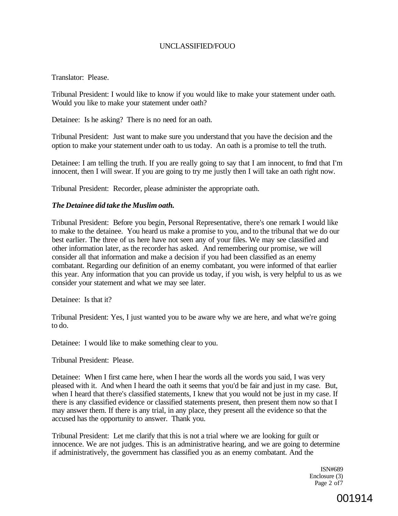Translator: Please.

Tribunal President: I would like to know if you would like to make your statement under oath. Would you like to make your statement under oath?

Detainee: Is he asking? There is no need for an oath.

Tribunal President: Just want to make sure you understand that you have the decision and the option to make your statement under oath to us today. An oath is a promise to tell the truth.

Detainee: I am telling the truth. If you are really going to say that I am innocent, to fmd that I'm innocent, then I will swear. If you are going to try me justly then I will take an oath right now.

Tribunal President: Recorder, please administer the appropriate oath.

### *The Detainee did take the Muslim oath.*

Tribunal President: Before you begin, Personal Representative, there's one remark I would like to make to the detainee. You heard us make a promise to you, and to the tribunal that we do our best earlier. The three of us here have not seen any of your files. We may see classified and other information later, as the recorder has asked. And remembering our promise, we will consider all that information and make a decision if you had been classified as an enemy combatant. Regarding our definition of an enemy combatant, you were informed of that earlier this year. Any information that you can provide us today, if you wish, is very helpful to us as we consider your statement and what we may see later.

Detainee: Is that it?

Tribunal President: Yes, I just wanted you to be aware why we are here, and what we're going to do.

Detainee: I would like to make something clear to you.

Tribunal President: Please.

Detainee: When I first came here, when I hear the words all the words you said, I was very pleased with it. And when I heard the oath it seems that you'd be fair and just in my case. But, when I heard that there's classified statements, I knew that you would not be just in my case. If there is any classified evidence or classified statements present, then present them now so that I may answer them. If there is any trial, in any place, they present all the evidence so that the accused has the opportunity to answer. Thank you.

Tribunal President: Let me clarify that this is not a trial where we are looking for guilt or innocence. We are not judges. This is an administrative hearing, and we are going to determine if administratively, the government has classified you as an enemy combatant. And the

> ISN#689 Enclosure (3) Page 2 of7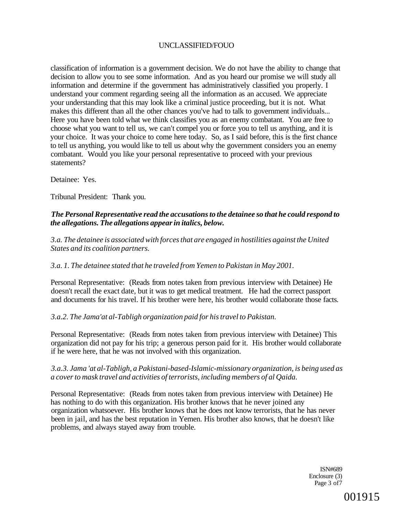classification of information is a government decision. We do not have the ability to change that decision to allow you to see some information. And as you heard our promise we will study all information and determine if the government has administratively classified you properly. I understand your comment regarding seeing all the information as an accused. We appreciate your understanding that this may look like a criminal justice proceeding, but it is not. What makes this different than all the other chances you've had to talk to government individuals... Here you have been told what we think classifies you as an enemy combatant. You are free to choose what you want to tell us, we can't compel you or force you to tell us anything, and it is your choice. It was your choice to come here today. So, as I said before, this is the first chance to tell us anything, you would like to tell us about why the government considers you an enemy combatant. Would you like your personal representative to proceed with your previous statements?

Detainee: Yes.

Tribunal President: Thank you.

### *The Personal Representative read the accusations to the detainee so that he could respond to the allegations. The allegations appear in italics, below.*

*3.a. The detainee is associated with forces that are engaged in hostilities against the United States and its coalition partners.* 

#### *3.a. 1. The detainee stated that he traveled from Yemen to Pakistan in May 2001.*

Personal Representative: (Reads from notes taken from previous interview with Detainee) He doesn't recall the exact date, but it was to get medical treatment. He had the correct passport and documents for his travel. If his brother were here, his brother would collaborate those facts.

#### *3.a.2. The Jama'at al-Tabligh organization paid for his travel to Pakistan.*

Personal Representative: (Reads from notes taken from previous interview with Detainee) This organization did not pay for his trip; a generous person paid for it. His brother would collaborate if he were here, that he was not involved with this organization.

### *3.a.3. Jama 'at al-Tabligh, a Pakistani-based-Islamic-missionary organization, is being used as a cover to mask travel and activities of terrorists, including members of al Qaida.*

Personal Representative: (Reads from notes taken from previous interview with Detainee) He has nothing to do with this organization. His brother knows that he never joined any organization whatsoever. His brother knows that he does not know terrorists, that he has never been in jail, and has the best reputation in Yemen. His brother also knows, that he doesn't like problems, and always stayed away from trouble.

> ISN#689 Enclosure (3) Page 3 of7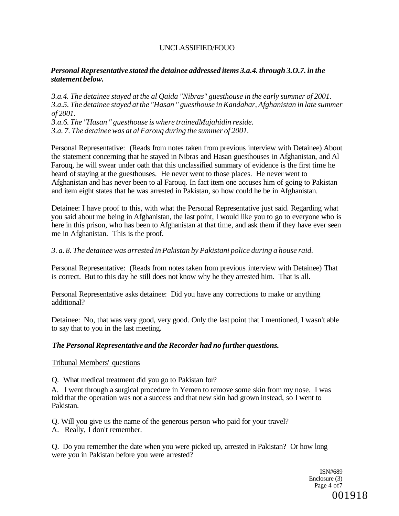## *Personal Representative stated the detainee addressed items 3.a.4. through 3.O.7. in the statement below.*

*3.a.4. The detainee stayed at the al Qaida "Nibras" guesthouse in the early summer of 2001. 3.a.5. The detainee stayed at the "Hasan " guesthouse in Kandahar, Afghanistan in late summer of 2001. 3.a.6. The "Hasan " guesthouse is where trainedMujahidin reside. 3.a. 7. The detainee was at al Farouq during the summer of 2001.* 

Personal Representative: (Reads from notes taken from previous interview with Detainee) About the statement concerning that he stayed in Nibras and Hasan guesthouses in Afghanistan, and Al Farouq, he will swear under oath that this unclassified summary of evidence is the first time he heard of staying at the guesthouses. He never went to those places. He never went to Afghanistan and has never been to al Farouq. In fact item one accuses him of going to Pakistan and item eight states that he was arrested in Pakistan, so how could he be in Afghanistan.

Detainee: I have proof to this, with what the Personal Representative just said. Regarding what you said about me being in Afghanistan, the last point, I would like you to go to everyone who is here in this prison, who has been to Afghanistan at that time, and ask them if they have ever seen me in Afghanistan. This is the proof.

### *3. a. 8. The detainee was arrested in Pakistan by Pakistani police during a house raid.*

Personal Representative: (Reads from notes taken from previous interview with Detainee) That is correct. But to this day he still does not know why he they arrested him. That is all.

Personal Representative asks detainee: Did you have any corrections to make or anything additional?

Detainee: No, that was very good, very good. Only the last point that I mentioned, I wasn't able to say that to you in the last meeting.

#### *The Personal Representative and the Recorder had no further questions.*

#### Tribunal Members' questions

Q. What medical treatment did you go to Pakistan for?

A. I went through a surgical procedure in Yemen to remove some skin from my nose. I was told that the operation was not a success and that new skin had grown instead, so I went to Pakistan.

Q. Will you give us the name of the generous person who paid for your travel? A. Really, I don't remember.

Q. Do you remember the date when you were picked up, arrested in Pakistan? Or how long were you in Pakistan before you were arrested?

> ISN#689 Enclosure (3) Page 4 of7 001918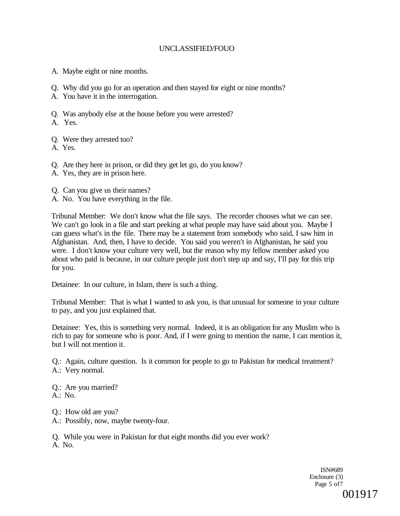- A. Maybe eight or nine months.
- Q. Why did you go for an operation and then stayed for eight or nine months?
- A. You have it in the interrogation.
- Q. Was anybody else at the house before you were arrested?

A. Yes.

- Q. Were they arrested too?
- A. Yes.
- Q. Are they here in prison, or did they get let go, do you know?
- A. Yes, they are in prison here.
- Q. Can you give us their names?
- A. No. You have everything in the file.

Tribunal Member: We don't know what the file says. The recorder chooses what we can see. We can't go look in a file and start peeking at what people may have said about you. Maybe I can guess what's in the file. There may be a statement from somebody who said, I saw him in Afghanistan. And, then, I have to decide. You said you weren't in Afghanistan, he said you were. I don't know your culture very well, but the reason why my fellow member asked you about who paid is because, in our culture people just don't step up and say, I'll pay for this trip for you.

Detainee: In our culture, in Islam, there is such a thing.

Tribunal Member: That is what I wanted to ask you, is that unusual for someone in your culture to pay, and you just explained that.

Detainee: Yes, this is something very normal. Indeed, it is an obligation for any Muslim who is rich to pay for someone who is poor. And, if I were going to mention the name, I can mention it, but I will not mention it.

Q.: Again, culture question. Is it common for people to go to Pakistan for medical treatment? A.: Very normal.

Q.: Are you married?  $A$ .: No.

Q.: How old are you?

A.: Possibly, now, maybe twenty-four.

Q. While you were in Pakistan for that eight months did you ever work? A. No.

> ISN#689 Enclosure (3) Page 5 of7 001917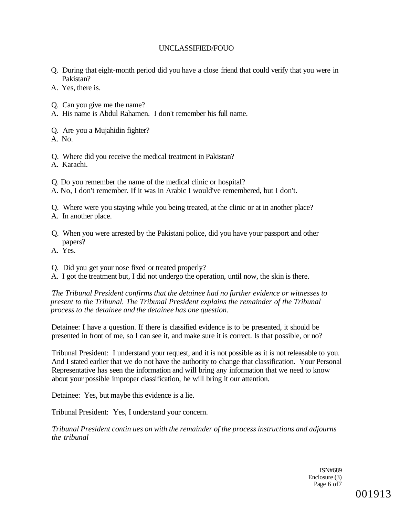- Q. During that eight-month period did you have a close friend that could verify that you were in Pakistan?
- A. Yes, there is.
- Q. Can you give me the name?
- A. His name is Abdul Rahamen. I don't remember his full name.
- Q. Are you a Mujahidin fighter?
- A. No.
- Q. Where did you receive the medical treatment in Pakistan?
- A. Karachi.
- Q. Do you remember the name of the medical clinic or hospital?
- A. No, I don't remember. If it was in Arabic I would've remembered, but I don't.
- Q. Where were you staying while you being treated, at the clinic or at in another place?
- A. In another place.
- Q. When you were arrested by the Pakistani police, did you have your passport and other papers?
- A. Yes.
- Q. Did you get your nose fixed or treated properly?
- A. I got the treatment but, I did not undergo the operation, until now, the skin is there.

*The Tribunal President confirms that the detainee had no further evidence or witnesses to present to the Tribunal. The Tribunal President explains the remainder of the Tribunal process to the detainee and the detainee has one question.* 

Detainee: I have a question. If there is classified evidence is to be presented, it should be presented in front of me, so I can see it, and make sure it is correct. Is that possible, or no?

Tribunal President: I understand your request, and it is not possible as it is not releasable to you. And I stated earlier that we do not have the authority to change that classification. Your Personal Representative has seen the information and will bring any information that we need to know about your possible improper classification, he will bring it our attention.

Detainee: Yes, but maybe this evidence is a lie.

Tribunal President: Yes, I understand your concern.

*Tribunal President contin ues on with the remainder of the process instructions and adjourns the tribunal* 

> ISN#689 Enclosure (3) Page 6 of7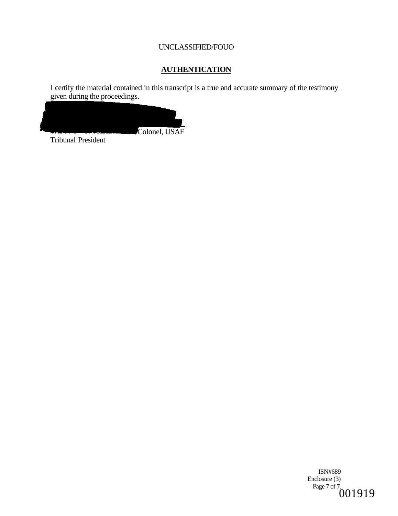# **AUTHENTICATION**

I certify the material contained in this transcript is a true and accurate summary of the testimony given during the proceedings.



Tribunal President

ISN#689 Enclosure (3) Page 7 of 7.<br>  $001919$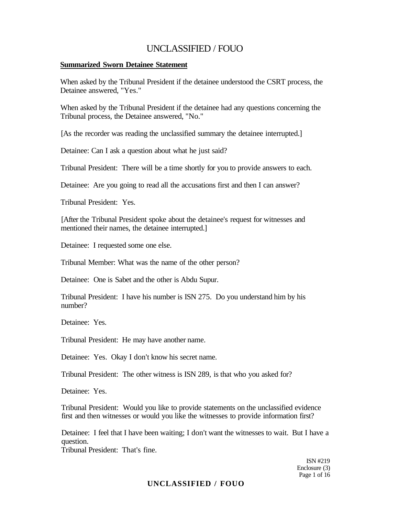#### **Summarized Sworn Detainee Statement**

When asked by the Tribunal President if the detainee understood the CSRT process, the Detainee answered, "Yes."

When asked by the Tribunal President if the detainee had any questions concerning the Tribunal process, the Detainee answered, "No."

[As the recorder was reading the unclassified summary the detainee interrupted.]

Detainee: Can I ask a question about what he just said?

Tribunal President: There will be a time shortly for you to provide answers to each.

Detainee: Are you going to read all the accusations first and then I can answer?

Tribunal President: Yes.

[After the Tribunal President spoke about the detainee's request for witnesses and mentioned their names, the detainee interrupted.]

Detainee: I requested some one else.

Tribunal Member: What was the name of the other person?

Detainee: One is Sabet and the other is Abdu Supur.

Tribunal President: I have his number is ISN 275. Do you understand him by his number?

Detainee: Yes.

Tribunal President: He may have another name.

Detainee: Yes. Okay I don't know his secret name.

Tribunal President: The other witness is ISN 289, is that who you asked for?

Detainee: Yes.

Tribunal President: Would you like to provide statements on the unclassified evidence first and then witnesses or would you like the witnesses to provide information first?

Detainee: I feel that I have been waiting; I don't want the witnesses to wait. But I have a question.

Tribunal President: That's fine.

ISN #219 Enclosure (3) Page 1 of 16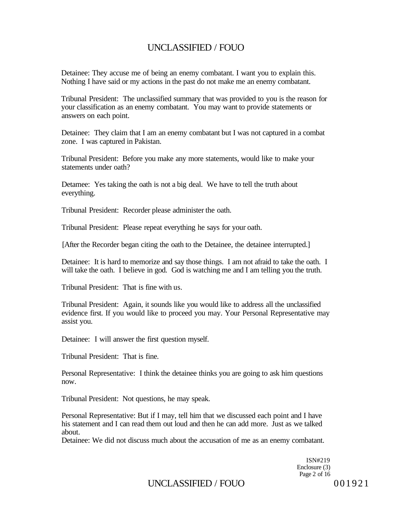Detainee: They accuse me of being an enemy combatant. I want you to explain this. Nothing I have said or my actions in the past do not make me an enemy combatant.

Tribunal President: The unclassified summary that was provided to you is the reason for your classification as an enemy combatant. You may want to provide statements or answers on each point.

Detainee: They claim that I am an enemy combatant but I was not captured in a combat zone. I was captured in Pakistan.

Tribunal President: Before you make any more statements, would like to make your statements under oath?

Detamee: Yes taking the oath is not a big deal. We have to tell the truth about everything.

Tribunal President: Recorder please administer the oath.

Tribunal President: Please repeat everything he says for your oath.

[After the Recorder began citing the oath to the Detainee, the detainee interrupted.]

Detainee: It is hard to memorize and say those things. I am not afraid to take the oath. I will take the oath. I believe in god. God is watching me and I am telling you the truth.

Tribunal President: That is fine with us.

Tribunal President: Again, it sounds like you would like to address all the unclassified evidence first. If you would like to proceed you may. Your Personal Representative may assist you.

Detainee: I will answer the first question myself.

Tribunal President: That is fine.

Personal Representative: I think the detainee thinks you are going to ask him questions now.

Tribunal President: Not questions, he may speak.

Personal Representative: But if I may, tell him that we discussed each point and I have his statement and I can read them out loud and then he can add more. Just as we talked about.

Detainee: We did not discuss much about the accusation of me as an enemy combatant.

ISN#219 Enclosure (3) Page 2 of 16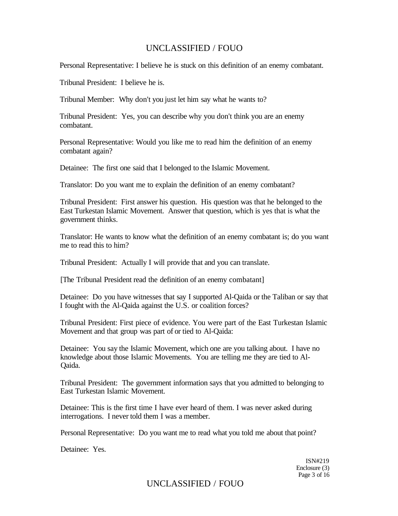Personal Representative: I believe he is stuck on this definition of an enemy combatant.

Tribunal President: I believe he is.

Tribunal Member: Why don't you just let him say what he wants to?

Tribunal President: Yes, you can describe why you don't think you are an enemy combatant.

Personal Representative: Would you like me to read him the definition of an enemy combatant again?

Detainee: The first one said that I belonged to the Islamic Movement.

Translator: Do you want me to explain the definition of an enemy combatant?

Tribunal President: First answer his question. His question was that he belonged to the East Turkestan Islamic Movement. Answer that question, which is yes that is what the government thinks.

Translator: He wants to know what the definition of an enemy combatant is; do you want me to read this to him?

Tribunal President: Actually I will provide that and you can translate.

[The Tribunal President read the definition of an enemy combatant]

Detainee: Do you have witnesses that say I supported Al-Qaida or the Taliban or say that I fought with the Al-Qaida against the U.S. or coalition forces?

Tribunal President: First piece of evidence. You were part of the East Turkestan Islamic Movement and that group was part of or tied to Al-Qaida:

Detainee: You say the Islamic Movement, which one are you talking about. I have no knowledge about those Islamic Movements. You are telling me they are tied to Al-Qaida.

Tribunal President: The government information says that you admitted to belonging to East Turkestan Islamic Movement.

Detainee: This is the first time I have ever heard of them. I was never asked during interrogations. I never told them I was a member.

Personal Representative: Do you want me to read what you told me about that point?

Detainee: Yes.

ISN#219 Enclosure (3) Page 3 of 16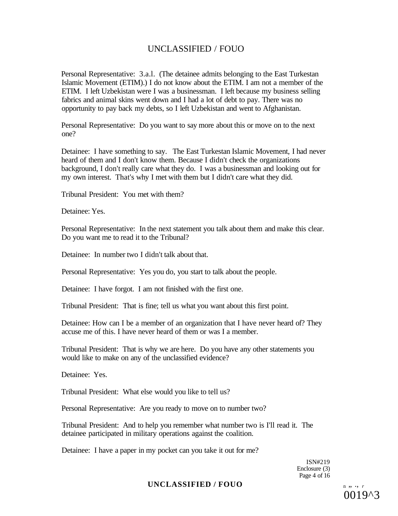Personal Representative: 3.a.l. (The detainee admits belonging to the East Turkestan Islamic Movement (ETIM).) I do not know about the ETIM. I am not a member of the ETIM. I left Uzbekistan were I was a businessman. I left because my business selling fabrics and animal skins went down and I had a lot of debt to pay. There was no opportunity to pay back my debts, so I left Uzbekistan and went to Afghanistan.

Personal Representative: Do you want to say more about this or move on to the next one?

Detainee: I have something to say. The East Turkestan Islamic Movement, I had never heard of them and I don't know them. Because I didn't check the organizations background, I don't really care what they do. I was a businessman and looking out for my own interest. That's why I met with them but I didn't care what they did.

Tribunal President: You met with them?

Detainee: Yes.

Personal Representative: In the next statement you talk about them and make this clear. Do you want me to read it to the Tribunal?

Detainee: In number two I didn't talk about that.

Personal Representative: Yes you do, you start to talk about the people.

Detainee: I have forgot. I am not finished with the first one.

Tribunal President: That is fine; tell us what you want about this first point.

Detainee: How can I be a member of an organization that I have never heard of? They accuse me of this. I have never heard of them or was I a member.

Tribunal President: That is why we are here. Do you have any other statements you would like to make on any of the unclassified evidence?

Detainee: Yes.

Tribunal President: What else would you like to tell us?

Personal Representative: Are you ready to move on to number two?

Tribunal President: And to help you remember what number two is I'll read it. The detainee participated in military operations against the coalition.

Detainee: I have a paper in my pocket can you take it out for me?

ISN#219 Enclosure (3) Page 4 of 16

## $\textbf{UNCLASSIFIED } / \textbf{FOUO}$  n  $\ldots$  *r*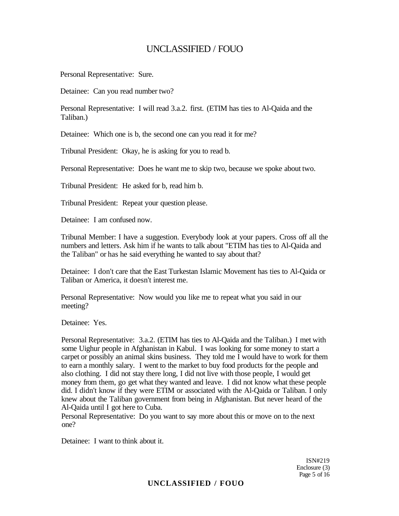Personal Representative: Sure.

Detainee: Can you read number two?

Personal Representative: I will read 3.a.2. first. (ETIM has ties to Al-Qaida and the Taliban.)

Detainee: Which one is b, the second one can you read it for me?

Tribunal President: Okay, he is asking for you to read b.

Personal Representative: Does he want me to skip two, because we spoke about two.

Tribunal President: He asked for b, read him b.

Tribunal President: Repeat your question please.

Detainee: I am confused now.

Tribunal Member: I have a suggestion. Everybody look at your papers. Cross off all the numbers and letters. Ask him if he wants to talk about "ETIM has ties to Al-Qaida and the Taliban" or has he said everything he wanted to say about that?

Detainee: I don't care that the East Turkestan Islamic Movement has ties to Al-Qaida or Taliban or America, it doesn't interest me.

Personal Representative: Now would you like me to repeat what you said in our meeting?

Detainee: Yes.

Personal Representative: 3.a.2. (ETIM has ties to Al-Qaida and the Taliban.) I met with some Uighur people in Afghanistan in Kabul. I was looking for some money to start a carpet or possibly an animal skins business. They told me I would have to work for them to earn a monthly salary. I went to the market to buy food products for the people and also clothing. I did not stay there long, I did not live with those people, I would get money from them, go get what they wanted and leave. I did not know what these people did. I didn't know if they were ETIM or associated with the Al-Qaida or Taliban. I only knew about the Taliban government from being in Afghanistan. But never heard of the Al-Qaida until I got here to Cuba.

Personal Representative: Do you want to say more about this or move on to the next one?

Detainee: I want to think about it.

ISN#219 Enclosure (3) Page 5 of 16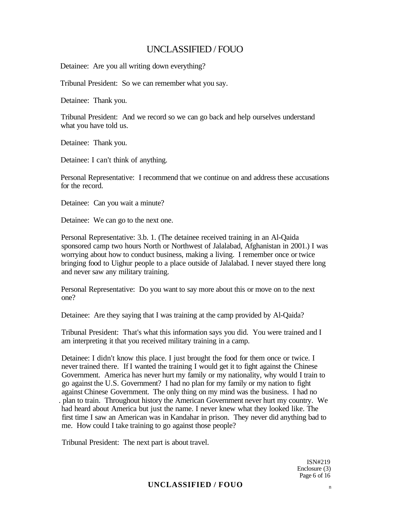Detainee: Are you all writing down everything?

Tribunal President: So we can remember what you say.

Detainee: Thank you.

Tribunal President: And we record so we can go back and help ourselves understand what you have told us.

Detainee: Thank you.

Detainee: I can't think of anything.

Personal Representative: I recommend that we continue on and address these accusations for the record.

Detainee: Can you wait a minute?

Detainee: We can go to the next one.

Personal Representative: 3.b. 1. (The detainee received training in an Al-Qaida sponsored camp two hours North or Northwest of Jalalabad, Afghanistan in 2001.) I was worrying about how to conduct business, making a living. I remember once or twice bringing food to Uighur people to a place outside of Jalalabad. I never stayed there long and never saw any military training.

Personal Representative: Do you want to say more about this or move on to the next one?

Detainee: Are they saying that I was training at the camp provided by Al-Qaida?

Tribunal President: That's what this information says you did. You were trained and I am interpreting it that you received military training in a camp.

Detainee: I didn't know this place. I just brought the food for them once or twice. I never trained there. If I wanted the training I would get it to fight against the Chinese Government. America has never hurt my family or my nationality, why would I train to go against the U.S. Government? I had no plan for my family or my nation to fight against Chinese Government. The only thing on my mind was the business. I had no . plan to train. Throughout history the American Government never hurt my country. We had heard about America but just the name. I never knew what they looked like. The first time I saw an American was in Kandahar in prison. They never did anything bad to me. How could I take training to go against those people?

Tribunal President: The next part is about travel.

ISN#219 Enclosure (3) Page 6 of 16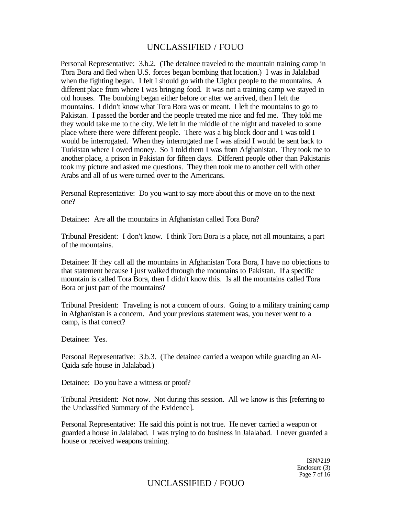Personal Representative: 3.b.2. (The detainee traveled to the mountain training camp in Tora Bora and fled when U.S. forces began bombing that location.) I was in Jalalabad when the fighting began. I felt I should go with the Uighur people to the mountains. A different place from where I was bringing food. It was not a training camp we stayed in old houses. The bombing began either before or after we arrived, then I left the mountains. I didn't know what Tora Bora was or meant. I left the mountains to go to Pakistan. I passed the border and the people treated me nice and fed me. They told me they would take me to the city. We left in the middle of the night and traveled to some place where there were different people. There was a big block door and I was told I would be interrogated. When they interrogated me I was afraid I would be sent back to Turkistan where I owed money. So 1 told them I was from Afghanistan. They took me to another place, a prison in Pakistan for fifteen days. Different people other than Pakistanis took my picture and asked me questions. They then took me to another cell with other Arabs and all of us were turned over to the Americans.

Personal Representative: Do you want to say more about this or move on to the next one?

Detainee: Are all the mountains in Afghanistan called Tora Bora?

Tribunal President: I don't know. I think Tora Bora is a place, not all mountains, a part of the mountains.

Detainee: If they call all the mountains in Afghanistan Tora Bora, I have no objections to that statement because I just walked through the mountains to Pakistan. If a specific mountain is called Tora Bora, then I didn't know this. Is all the mountains called Tora Bora or just part of the mountains?

Tribunal President: Traveling is not a concern of ours. Going to a military training camp in Afghanistan is a concern. And your previous statement was, you never went to a camp, is that correct?

Detainee: Yes.

Personal Representative: 3.b.3. (The detainee carried a weapon while guarding an Al-Qaida safe house in Jalalabad.)

Detainee: Do you have a witness or proof?

Tribunal President: Not now. Not during this session. All we know is this [referring to the Unclassified Summary of the Evidence].

Personal Representative: He said this point is not true. He never carried a weapon or guarded a house in Jalalabad. I was trying to do business in Jalalabad. I never guarded a house or received weapons training.

> ISN#219 Enclosure (3) Page 7 of 16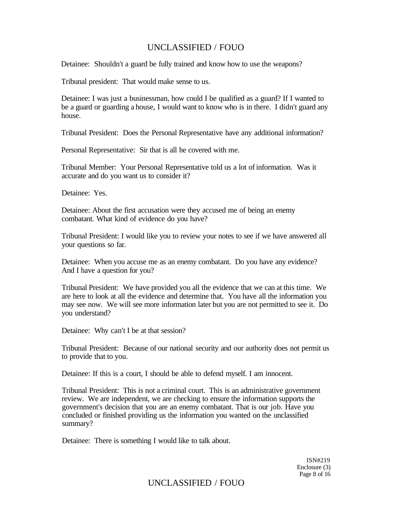Detainee: Shouldn't a guard be fully trained and know how to use the weapons?

Tribunal president: That would make sense to us.

Detainee: I was just a businessman, how could I be qualified as a guard? If I wanted to be a guard or guarding a house, I would want to know who is in there. I didn't guard any house.

Tribunal President: Does the Personal Representative have any additional information?

Personal Representative: Sir that is all he covered with me.

Tribunal Member: Your Personal Representative told us a lot of information. Was it accurate and do you want us to consider it?

Detainee: Yes.

Detainee: About the first accusation were they accused me of being an enemy combatant. What kind of evidence do you have?

Tribunal President: I would like you to review your notes to see if we have answered all your questions so far.

Detainee: When you accuse me as an enemy combatant. Do you have any evidence? And I have a question for you?

Tribunal President: We have provided you all the evidence that we can at this time. We are here to look at all the evidence and determine that. You have all the information you may see now. We will see more information later but you are not permitted to see it. Do you understand?

Detainee: Why can't I be at that session?

Tribunal President: Because of our national security and our authority does not permit us to provide that to you.

Detainee: If this is a court, I should be able to defend myself. I am innocent.

Tribunal President: This is not a criminal court. This is an administrative government review. We are independent, we are checking to ensure the information supports the government's decision that you are an enemy combatant. That is our job. Have you concluded or finished providing us the information you wanted on the unclassified summary?

Detainee: There is something I would like to talk about.

ISN#219 Enclosure (3) Page 8 of 16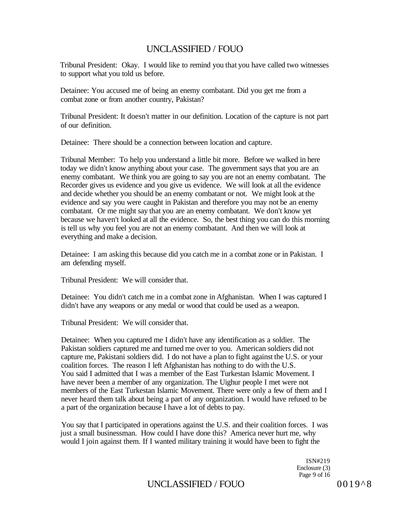Tribunal President: Okay. I would like to remind you that you have called two witnesses to support what you told us before.

Detainee: You accused me of being an enemy combatant. Did you get me from a combat zone or from another country, Pakistan?

Tribunal President: It doesn't matter in our definition. Location of the capture is not part of our definition.

Detainee: There should be a connection between location and capture.

Tribunal Member: To help you understand a little bit more. Before we walked in here today we didn't know anything about your case. The government says that you are an enemy combatant. We think you are going to say you are not an enemy combatant. The Recorder gives us evidence and you give us evidence. We will look at all the evidence and decide whether you should be an enemy combatant or not. We might look at the evidence and say you were caught in Pakistan and therefore you may not be an enemy combatant. Or me might say that you are an enemy combatant. We don't know yet because we haven't looked at all the evidence. So, the best thing you can do this morning is tell us why you feel you are not an enemy combatant. And then we will look at everything and make a decision.

Detainee: I am asking this because did you catch me in a combat zone or in Pakistan. I am defending myself.

Tribunal President: We will consider that.

Detainee: You didn't catch me in a combat zone in Afghanistan. When I was captured I didn't have any weapons or any medal or wood that could be used as a weapon.

Tribunal President: We will consider that.

Detainee: When you captured me I didn't have any identification as a soldier. The Pakistan soldiers captured me and turned me over to you. American soldiers did not capture me, Pakistani soldiers did. I do not have a plan to fight against the U.S. or your coalition forces. The reason I left Afghanistan has nothing to do with the U.S. You said I admitted that I was a member of the East Turkestan Islamic Movement. I have never been a member of any organization. The Uighur people I met were not members of the East Turkestan Islamic Movement. There were only a few of them and I never heard them talk about being a part of any organization. I would have refused to be a part of the organization because I have a lot of debts to pay.

You say that I participated in operations against the U.S. and their coalition forces. I was just a small businessman. How could I have done this? America never hurt me, why would I join against them. If I wanted military training it would have been to fight the

> ISN#219 Enclosure (3) Page 9 of 16

# UNCLASSIFIED / FOUO 0019^8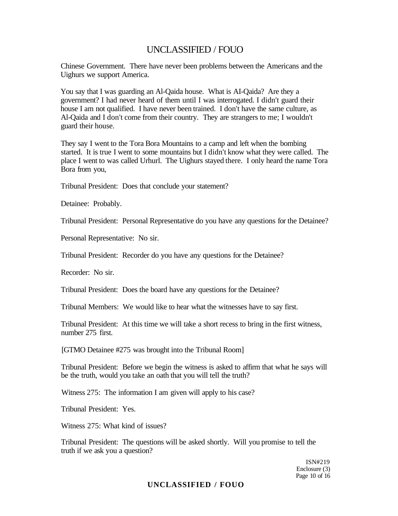Chinese Government. There have never been problems between the Americans and the Uighurs we support America.

You say that I was guarding an Al-Qaida house. What is AI-Qaida? Are they a government? I had never heard of them until I was interrogated. I didn't guard their house I am not qualified. I have never been trained. I don't have the same culture, as Al-Qaida and I don't come from their country. They are strangers to me; I wouldn't guard their house.

They say I went to the Tora Bora Mountains to a camp and left when the bombing started. It is true I went to some mountains but I didn't know what they were called. The place I went to was called Urhurl. The Uighurs stayed there. I only heard the name Tora Bora from you,

Tribunal President: Does that conclude your statement?

Detainee: Probably.

Tribunal President: Personal Representative do you have any questions for the Detainee?

Personal Representative: No sir.

Tribunal President: Recorder do you have any questions for the Detainee?

Recorder: No sir.

Tribunal President: Does the board have any questions for the Detainee?

Tribunal Members: We would like to hear what the witnesses have to say first.

Tribunal President: At this time we will take a short recess to bring in the first witness, number 275 first.

[GTMO Detainee #275 was brought into the Tribunal Room]

Tribunal President: Before we begin the witness is asked to affirm that what he says will be the truth, would you take an oath that you will tell the truth?

Witness 275: The information I am given will apply to his case?

Tribunal President: Yes.

Witness 275: What kind of issues?

Tribunal President: The questions will be asked shortly. Will you promise to tell the truth if we ask you a question?

> ISN#219 Enclosure (3) Page 10 of 16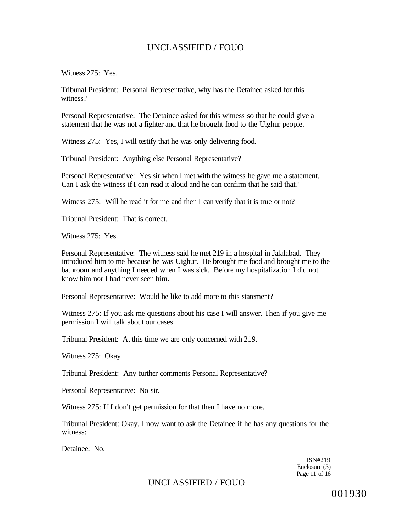Witness 275: Yes.

Tribunal President: Personal Representative, why has the Detainee asked for this witness?

Personal Representative: The Detainee asked for this witness so that he could give a statement that he was not a fighter and that he brought food to the Uighur people.

Witness 275: Yes, I will testify that he was only delivering food.

Tribunal President: Anything else Personal Representative?

Personal Representative: Yes sir when I met with the witness he gave me a statement. Can I ask the witness if I can read it aloud and he can confirm that he said that?

Witness 275: Will he read it for me and then I can verify that it is true or not?

Tribunal President: That is correct.

Witness 275: Yes.

Personal Representative: The witness said he met 219 in a hospital in Jalalabad. They introduced him to me because he was Uighur. He brought me food and brought me to the bathroom and anything I needed when I was sick. Before my hospitalization I did not know him nor I had never seen him.

Personal Representative: Would he like to add more to this statement?

Witness 275: If you ask me questions about his case I will answer. Then if you give me permission I will talk about our cases.

Tribunal President: At this time we are only concerned with 219.

Witness 275: Okay

Tribunal President: Any further comments Personal Representative?

Personal Representative: No sir.

Witness 275: If I don't get permission for that then I have no more.

Tribunal President: Okay. I now want to ask the Detainee if he has any questions for the witness:

Detainee: No.

ISN#219 Enclosure (3) Page 11 of 16

# UNCLASSIFIED / FOUO

001930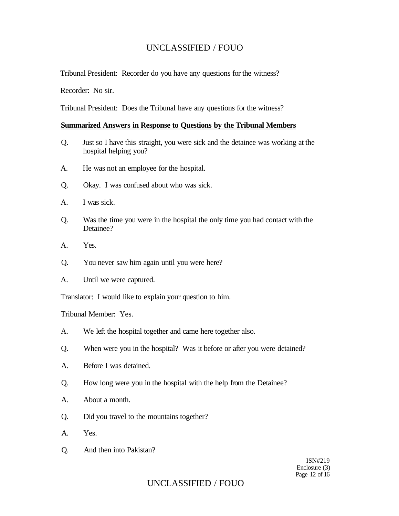Tribunal President: Recorder do you have any questions for the witness?

Recorder: No sir.

Tribunal President: Does the Tribunal have any questions for the witness?

#### **Summarized Answers in Response to Questions by the Tribunal Members**

- Q. Just so I have this straight, you were sick and the detainee was working at the hospital helping you?
- A. He was not an employee for the hospital.
- Q. Okay. I was confused about who was sick.
- A. I was sick.
- Q. Was the time you were in the hospital the only time you had contact with the Detainee?
- A. Yes.
- Q. You never saw him again until you were here?
- A. Until we were captured.

Translator: I would like to explain your question to him.

Tribunal Member: Yes.

- A. We left the hospital together and came here together also.
- Q. When were you in the hospital? Was it before or after you were detained?
- A. Before I was detained.
- Q. How long were you in the hospital with the help from the Detainee?
- A. About a month.
- Q. Did you travel to the mountains together?
- A. Yes.
- Q. And then into Pakistan?

ISN#219 Enclosure (3) Page 12 of 16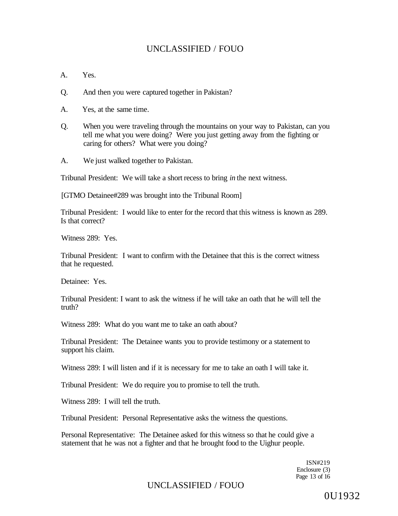- A. Yes.
- Q. And then you were captured together in Pakistan?
- A. Yes, at the same time.
- Q. When you were traveling through the mountains on your way to Pakistan, can you tell me what you were doing? Were you just getting away from the fighting or caring for others? What were you doing?
- A. We just walked together to Pakistan.

Tribunal President: We will take a short recess to bring *in* the next witness.

[GTMO Detainee#289 was brought into the Tribunal Room]

Tribunal President: I would like to enter for the record that this witness is known as 289. Is that correct?

Witness 289: Yes.

Tribunal President: I want to confirm with the Detainee that this is the correct witness that he requested.

Detainee: Yes.

Tribunal President: I want to ask the witness if he will take an oath that he will tell the truth?

Witness 289: What do you want me to take an oath about?

Tribunal President: The Detainee wants you to provide testimony or a statement to support his claim.

Witness 289: I will listen and if it is necessary for me to take an oath I will take it.

Tribunal President: We do require you to promise to tell the truth.

Witness 289: I will tell the truth.

Tribunal President: Personal Representative asks the witness the questions.

Personal Representative: The Detainee asked for this witness so that he could give a statement that he was not a fighter and that he brought food to the Uighur people.

> ISN#219 Enclosure (3) Page 13 of 16

# UNCLASSIFIED / FOUO

0U1932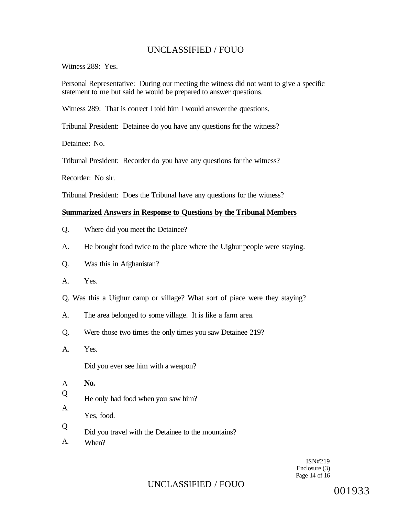Witness 289: Yes.

Personal Representative: During our meeting the witness did not want to give a specific statement to me but said he would be prepared to answer questions.

Witness 289: That is correct I told him I would answer the questions.

Tribunal President: Detainee do you have any questions for the witness?

Detainee: No.

Tribunal President: Recorder do you have any questions for the witness?

Recorder: No sir.

Tribunal President: Does the Tribunal have any questions for the witness?

#### **Summarized Answers in Response to Questions by the Tribunal Members**

- Q. Where did you meet the Detainee?
- A. He brought food twice to the place where the Uighur people were staying.
- Q. Was this in Afghanistan?
- A. Yes.

Q. Was this a Uighur camp or village? What sort of piace were they staying?

- A. The area belonged to some village. It is like a farm area.
- Q. Were those two times the only times you saw Detainee 219?
- A. Yes.

Did you ever see him with a weapon?

A **No.** 

A.

Q He only had food when you saw him?

Yes, food.

- Q Did you travel with the Detainee to the mountains?
- A. When?

ISN#219 Enclosure (3) Page 14 of 16

# UNCLASSIFIED / FOUO

001933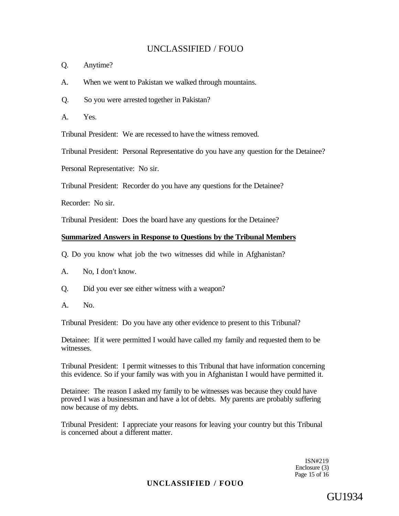- Q. Anytime?
- A. When we went to Pakistan we walked through mountains.
- Q. So you were arrested together in Pakistan?
- A. Yes.

Tribunal President: We are recessed to have the witness removed.

Tribunal President: Personal Representative do you have any question for the Detainee?

Personal Representative: No sir.

Tribunal President: Recorder do you have any questions for the Detainee?

Recorder: No sir.

Tribunal President: Does the board have any questions for the Detainee?

## **Summarized Answers in Response to Questions by the Tribunal Members**

Q. Do you know what job the two witnesses did while in Afghanistan?

- A. No, I don't know.
- Q. Did you ever see either witness with a weapon?
- A. No.

Tribunal President: Do you have any other evidence to present to this Tribunal?

Detainee: If it were permitted I would have called my family and requested them to be witnesses.

Tribunal President: I permit witnesses to this Tribunal that have information concerning this evidence. So if your family was with you in Afghanistan I would have permitted it.

Detainee: The reason I asked my family to be witnesses was because they could have proved I was a businessman and have a lot of debts. My parents are probably suffering now because of my debts.

Tribunal President: I appreciate your reasons for leaving your country but this Tribunal is concerned about a different matter.

> ISN#219 Enclosure (3) Page 15 of 16

# **UNCLASSIFIED / FOUO**

GU1934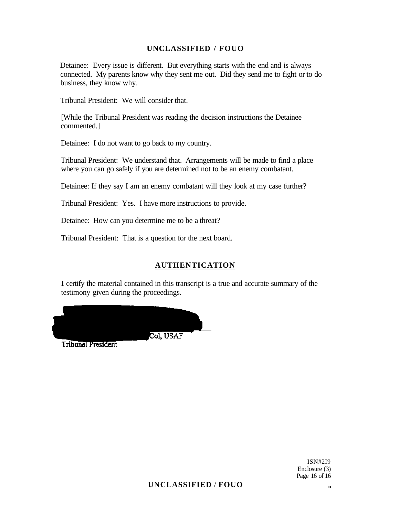Detainee: Every issue is different. But everything starts with the end and is always connected. My parents know why they sent me out. Did they send me to fight or to do business, they know why.

Tribunal President: We will consider that.

[While the Tribunal President was reading the decision instructions the Detainee commented.]

Detainee: I do not want to go back to my country.

Tribunal President: We understand that. Arrangements will be made to find a place where you can go safely if you are determined not to be an enemy combatant.

Detainee: If they say I am an enemy combatant will they look at my case further?

Tribunal President: Yes. I have more instructions to provide.

Detainee: How can you determine me to be a threat?

Tribunal President: That is a question for the next board.

### **AUTHENTICATION**

**I** certify the material contained in this transcript is a true and accurate summary of the testimony given during the proceedings.



**Tribunal President**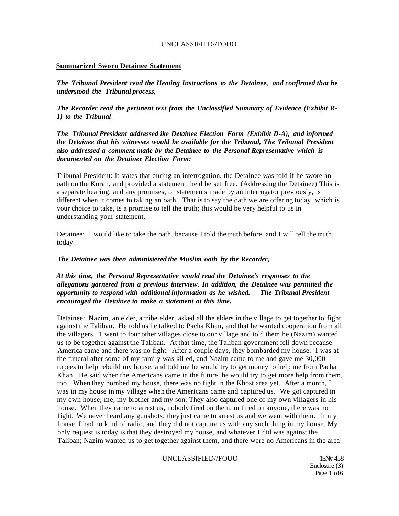#### **Summarized Sworn Detainee Statement**

*The Tribunal President read the Heating Instructions to the Detainee, and confirmed that he understood the Tribunal process,* 

*The Recorder read the pertinent text from the Unclassified Summary of Evidence (Exhibit R-1) to the Tribunal* 

*The Tribunal President addressed ike Detainee Election Form (Exhibit D-A), and informed the Detainee that his witnesses would be available for the Tribunal, The Tribunal President also addressed a comment made by the Detainee to the Personal Representative which is documented on the Detainee Election Form:* 

Tribunal President: It states that during an interrogation, the Detainee was told if he swore an oath on the Koran, and provided a statement, he'd be set free. (Addressing the Detainee) This is a separate hearing, and any promises, or statements made by an interrogator previously, is different when it comes to taking an oath. That is to say the oath we are offering today, which is your choice to take, is a promise to tell the truth; this would be very helpful to us in understanding your statement.

Detainee; I would like to take the oath, because I told the truth before, and I will tell the truth today.

#### *The Detainee was then administered the Muslim oath by the Recorder,*

### *At this time, the Personal Representative would read the Detainee's responses to the allegations garnered from a previous interview. In addition, the Detainee was permitted the opportunity to respond with additional information as he wished. The Tribunal President encouraged the Detainee to make a statement at this time.*

Detainee: Nazim, an elder, a tribe elder, asked all the elders in the village to get together to fight against the Taliban. He told us he talked to Pacha Khan, and that he wanted cooperation from all the villagers. 1 went to four other villages close to our village and told them he (Nazim) wanted us to be together against the Taliban. At that time, the Taliban government fell down because America came and there was no fight. After a couple days, they bombarded my house. I was at the funeral after some of my family was killed, and Nazim came to me and gave me 30,000 rupees to help rebuild my house, and told me he would try to get money to help me from Pacha Khan. He said when the Americans came in the future, he would try to get more help from them, too. When they bombed my house, there was no fight in the Khost area yet. After a month, I was in my house in my village when the Americans came and captured us. We got captured in my own house; me, my brother and my son. They also captured one of my own villagers in his house. When they came to arrest us, nobody fired on them, or fired on anyone, there was no fight. We never heard any gunshots; they just came to arrest us and we went with them. In my house, I had no kind of radio, and they did not capture us with any such thing in my house. My only request is today is that they destroyed my house, and whatever I did was against the Taliban; Nazim wanted us to get together against them, and there were no Americans in the area

#### UNCLASSIFIED//FOUO 1SN# 458

Enclosure (3) Page 1 of 6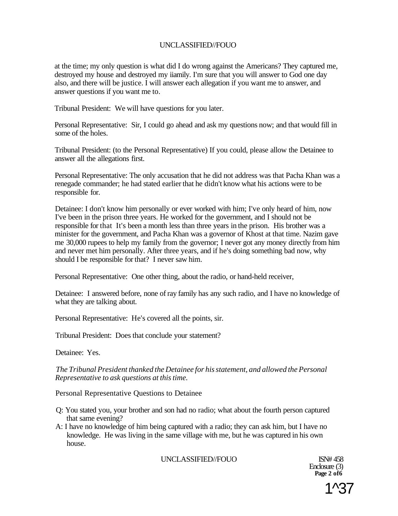at the time; my only question is what did I do wrong against the Americans? They captured me, destroyed my house and destroyed my iiamily. I'm sure that you will answer to God one day also, and there will be justice. I will answer each allegation if you want me to answer, and answer questions if you want me to.

Tribunal President: We will have questions for you later.

Personal Representative: Sir, I could go ahead and ask my questions now; and that would fill in some of the holes.

Tribunal President: (to the Personal Representative) If you could, please allow the Detainee to answer all the allegations first.

Personal Representative: The only accusation that he did not address was that Pacha Khan was a renegade commander; he had stated earlier that he didn't know what his actions were to be responsible for.

Detainee: I don't know him personally or ever worked with him; I've only heard of him, now I've been in the prison three years. He worked for the government, and I should not be responsible for that It's been a month less than three years in the prison. His brother was a minister for the government, and Pacha Khan was a governor of Khost at that time. Nazim gave me 30,000 rupees to help my family from the governor; I never got any money directly from him and never met him personally. After three years, and if he's doing something bad now, why should I be responsible for that? I never saw him.

Personal Representative: One other thing, about the radio, or hand-held receiver,

Detainee: I answered before, none of ray family has any such radio, and I have no knowledge of what they are talking about.

Personal Representative: He's covered all the points, sir.

Tribunal President: Does that conclude your statement?

Detainee: Yes.

*The Tribunal President thanked the Detainee for his statement, and allowed the Personal Representative to ask questions at this time.* 

Personal Representative Questions to Detainee

- Q: You stated you, your brother and son had no radio; what about the fourth person captured that same evening?
- A: I have no knowledge of him being captured with a radio; they can ask him, but I have no knowledge. He was living in the same village with me, but he was captured in his own house.

UNCLASSIFIED//FOUO ISN# 458

Enclosure (3) **Page 2 of6** 

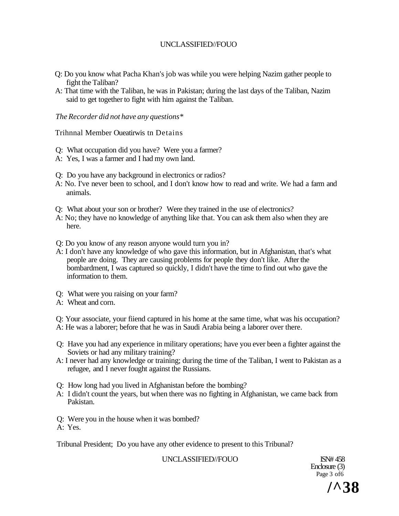- Q: Do you know what Pacha Khan's job was while you were helping Nazim gather people to fight the Taliban?
- A: That time with the Taliban, he was in Pakistan; during the last days of the Taliban, Nazim said to get together to fight with him against the Taliban.

### *The Recorder did not have any questions\**

Trihnnal Member Oueatirwis tn Detains

- Q: What occupation did you have? Were you a farmer?
- A: Yes, I was a farmer and I had my own land.
- Q: Do you have any background in electronics or radios?
- A: No. I've never been to school, and I don't know how to read and write. We had a farm and animals.
- Q: What about your son or brother? Were they trained in the use of electronics?
- A: No; they have no knowledge of anything like that. You can ask them also when they are here.
- Q: Do you know of any reason anyone would turn you in?
- A: I don't have any knowledge of who gave this information, but in Afghanistan, that's what people are doing. They are causing problems for people they don't like. After the bombardment, I was captured so quickly, I didn't have the time to find out who gave the information to them.
- Q: What were you raising on your farm?
- A: Wheat and corn.

Q: Your associate, your fiiend captured in his home at the same time, what was his occupation? A: He was a laborer; before that he was in Saudi Arabia being a laborer over there.

- Q: Have you had any experience in military operations; have you ever been a fighter against the Soviets or had any military training?
- A: I never had any knowledge or training; during the time of the Taliban, I went to Pakistan as a refugee, and I never fought against the Russians.
- Q: How long had you lived in Afghanistan before the bombing?
- A: I didn't count the years, but when there was no fighting in Afghanistan, we came back from Pakistan.
- Q: Were you in the house when it was bombed?
- A: Yes.

Tribunal President; Do you have any other evidence to present to this Tribunal?

UNCLASSIFIED//FOUO ISN# 458

Enclosure (3) Page 3 of 6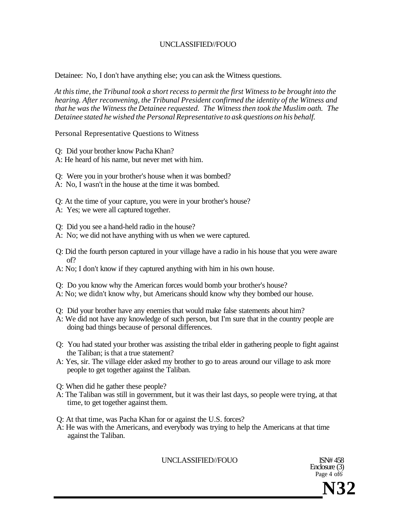Detainee: No, I don't have anything else; you can ask the Witness questions.

*At this time, the Tribunal took a short recess to permit the first Witness to be brought into the hearing. After reconvening, the Tribunal President confirmed the identity of the Witness and that he was the Witness the Detainee requested. The Witness then took the Muslim oath. The Detainee stated he wished the Personal Representative to ask questions on his behalf.* 

Personal Representative Questions to Witness

- Q: Did your brother know Pacha Khan?
- A: He heard of his name, but never met with him.
- Q: Were you in your brother's house when it was bombed?
- A: No, I wasn't in the house at the time it was bombed.
- Q: At the time of your capture, you were in your brother's house?
- A: Yes; we were all captured together.
- Q: Did you see a hand-held radio in the house?
- A: No; we did not have anything with us when we were captured.
- Q: Did the fourth person captured in your village have a radio in his house that you were aware of?
- A: No; I don't know if they captured anything with him in his own house.
- Q: Do you know why the American forces would bomb your brother's house?
- A: No; we didn't know why, but Americans should know why they bombed our house.
- Q: Did your brother have any enemies that would make false statements about him?
- A: We did not have any knowledge of such person, but I'm sure that in the country people are doing bad things because of personal differences.
- Q: You had stated your brother was assisting the tribal elder in gathering people to fight against the Taliban; is that a true statement?
- A: Yes, sir. The village elder asked my brother to go to areas around our village to ask more people to get together against the Taliban.
- Q: When did he gather these people?
- A: The Taliban was still in government, but it was their last days, so people were trying, at that time, to get together against them.
- Q: At that time, was Pacha Khan for or against the U.S. forces?
- A: He was with the Americans, and everybody was trying to help the Americans at that time against the Taliban.

UNCLASSIFIED//FOUO ISN# 458

Enclosure (3) Page 4 of*6* 

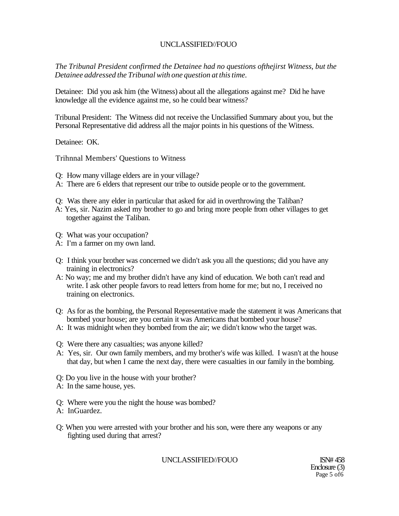*The Tribunal President confirmed the Detainee had no questions ofthejirst Witness, but the Detainee addressed the Tribunal with one question at this time.* 

Detainee: Did you ask him (the Witness) about all the allegations against me? Did he have knowledge all the evidence against me, so he could bear witness?

Tribunal President: The Witness did not receive the Unclassified Summary about you, but the Personal Representative did address all the major points in his questions of the Witness.

Detainee: OK.

Trihnnal Members' Questions to Witness

- Q: How many village elders are in your village?
- A: There are 6 elders that represent our tribe to outside people or to the government.
- Q: Was there any elder in particular that asked for aid in overthrowing the Taliban?
- A: Yes, sir. Nazim asked my brother to go and bring more people from other villages to get together against the Taliban.
- Q: What was your occupation?
- A: I'm a farmer on my own land.
- Q: I think your brother was concerned we didn't ask you all the questions; did you have any training in electronics?
- A: No way; me and my brother didn't have any kind of education. We both can't read and write. I ask other people favors to read letters from home for me; but no, I received no training on electronics.
- Q: As for as the bombing, the Personal Representative made the statement it was Americans that bombed your house; are you certain it was Americans that bombed your house?
- A: It was midnight when they bombed from the air; we didn't know who the target was.
- Q: Were there any casualties; was anyone killed?
- A: Yes, sir. Our own family members, and my brother's wife was killed. I wasn't at the house that day, but when I came the next day, there were casualties in our family in the bombing.
- Q: Do you live in the house with your brother?
- A: In the same house, yes.
- Q: Where were you the night the house was bombed?
- A: InGuardez.
- Q: When you were arrested with your brother and his son, were there any weapons or any fighting used during that arrest?

UNCLASSIFIED//FOUO ISN# 458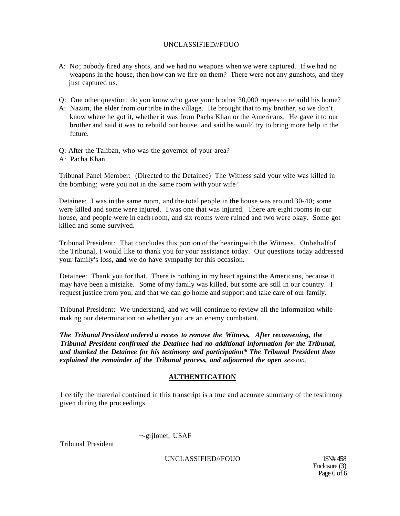- A: No; nobody fired any shots, and we had no weapons when we were captured. If we had no weapons in the house, then how can we fire on them? There were not any gunshots, and they just captured us.
- Q: One other question; do you know who gave your brother 30,000 rupees to rebuild his home?
- A: Nazim, the elder from our tribe in the village. He brought that to my brother, so we don't know where he got it, whether it was from Pacha Khan or the Americans. He gave it to our brother and said it was to rebuild our house, and said he would try to bring more help in the future.
- Q: After the Taliban, who was the governor of your area? A: Pacha Khan.

Tribunal Panel Member: (Directed to the Detainee) The Witness said your wife was killed in the bombing; were you not in the same room with your wife?

Detainee: I was in the same room, and the total people in **the** house was around 30-40; some were killed and some were injured. I was one that was injured. There are eight rooms in our house, and people were in each room, and six rooms were ruined and two were okay. Some got killed and some survived.

Tribunal President: That concludes this portion of the hearingwith the Witness. Onbehalfof the Tribunal, I would like to thank you for your assistance today. Our questions today addressed your family's loss, **and** we do have sympathy for this occasion.

Detainee: Thank you for that. There is nothing in my heart against the Americans, because it may have been a mistake. Some of my family was killed, but some are still in our country. I request justice from you, and that we can go home and support and take care of our family.

Tribunal President: We understand, and we will continue to review all the information while making our determination on whether you are an enemy combatant.

*The Tribunal President ordered a recess to remove the Witness, After reconvening, the Tribunal President confirmed the Detainee had no additional information for the Tribunal, and thanked the Detainee for his testimony and participation\* The Tribunal President then explained the remainder of the Tribunal process, and adjourned the open session.* 

## **AUTHENTICATION**

1 certify the material contained in this transcript is a true and accurate summary of the testimony given during the proceedings.

Tribunal President

~-grjlonet, USAF

UNCLASSIFIED//FOUO 1SN# 458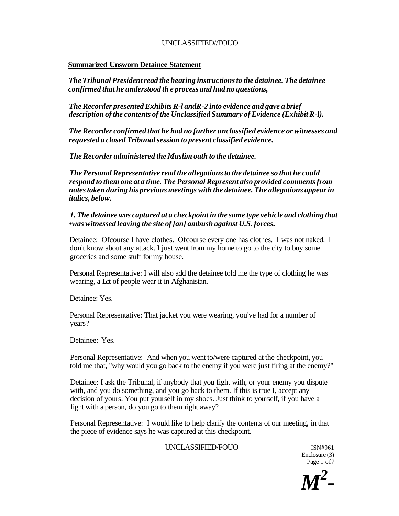#### **Summarized Unsworn Detainee Statement**

*The Tribunal President read the hearing instructions to the detainee. The detainee confirmed that he understood th e process and had no questions,* 

*The Recorder presented Exhibits R-l andR-2 into evidence and gave a brief description of the contents of the Unclassified Summary of Evidence (Exhibit R-l).* 

*The Recorder confirmed that he had no further unclassified evidence or witnesses and requested a closed Tribunal session to present classified evidence.* 

*The Recorder administered the Muslim oath to the detainee.* 

*The Personal Representative read the allegations to the detainee so that he could respond to them one at a time. The Personal Represent also provided comments from notes taken during his previous meetings with the detainee. The allegations appear in italics, below.* 

*1. The detainee was captured at a checkpoint in the same type vehicle and clothing that •was witnessed leaving the site of [an] ambush against U.S. forces.* 

Detainee: Ofcourse I have clothes. Ofcourse every one has clothes. I was not naked. I don't know about any attack. I just went from my home to go to the city to buy some groceries and some stuff for my house.

Personal Representative: I will also add the detainee told me the type of clothing he was wearing, a Lot of people wear it in Afghanistan.

Detainee: Yes.

Personal Representative: That jacket you were wearing, you've had for a number of years?

Detainee: Yes.

Personal Representative: And when you went to/were captured at the checkpoint, you told me that, "why would you go back to the enemy if you were just firing at the enemy?"

Detainee: I ask the Tribunal, if anybody that you fight with, or your enemy you dispute with, and you do something, and you go back to them. If this is true I, accept any decision of yours. You put yourself in my shoes. Just think to yourself, if you have a fight with a person, do you go to them right away?

Personal Representative: I would like to help clarify the contents of our meeting, in that the piece of evidence says he was captured at this checkpoint.

## UNCLASSIFIED/FOUO ISN#961

Enclosure (3) Page 1 of 7

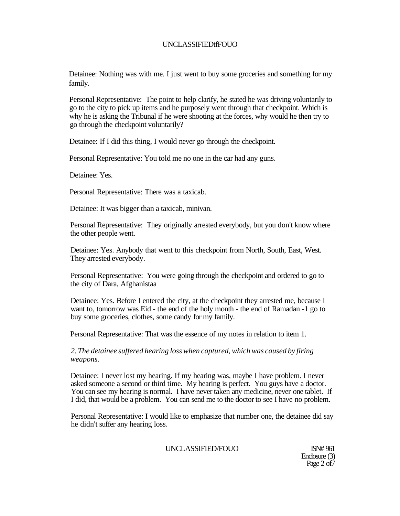Detainee: Nothing was with me. I just went to buy some groceries and something for my family.

Personal Representative: The point to help clarify, he stated he was driving voluntarily to go to the city to pick up items and he purposely went through that checkpoint. Which is why he is asking the Tribunal if he were shooting at the forces, why would he then try to go through the checkpoint voluntarily?

Detainee: If I did this thing, I would never go through the checkpoint.

Personal Representative: You told me no one in the car had any guns.

Detainee: Yes.

Personal Representative: There was a taxicab.

Detainee: It was bigger than a taxicab, minivan.

Personal Representative: They originally arrested everybody, but you don't know where the other people went.

Detainee: Yes. Anybody that went to this checkpoint from North, South, East, West. They arrested everybody.

Personal Representative: You were going through the checkpoint and ordered to go to the city of Dara, Afghanistaa

Detainee: Yes. Before I entered the city, at the checkpoint they arrested me, because I want to, tomorrow was Eid - the end of the holy month - the end of Ramadan -1 go to buy some groceries, clothes, some candy for my family.

Personal Representative: That was the essence of my notes in relation to item 1.

*2. The detainee suffered hearing loss when captured, which was caused by firing weapons.* 

Detainee: I never lost my hearing. If my hearing was, maybe I have problem. I never asked someone a second or third time. My hearing is perfect. You guys have a doctor. You can see my hearing is normal. I have never taken any medicine, never one tablet. If I did, that would be a problem. You can send me to the doctor to see I have no problem.

Personal Representative: I would like to emphasize that number one, the detainee did say he didn't suffer any hearing loss.

UNCLASSIFIED/FOUO ISN# 961

Enclosure (3) Page 2 of 7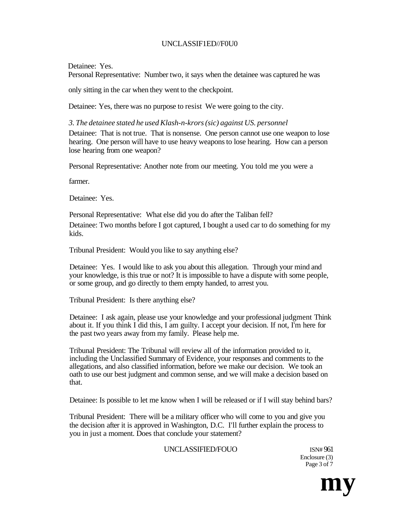## UNCLASSIF1ED//F0U0

## Detainee: Yes.

Personal Representative: Number two, it says when the detainee was captured he was

only sitting in the car when they went to the checkpoint.

Detainee: Yes, there was no purpose to resist We were going to the city.

*3. The detainee stated he used Klash-n-krors (sic) against US. personnel* 

Detainee: That is not true. That is nonsense. One person cannot use one weapon to lose hearing. One person will have to use heavy weapons to lose hearing. How can a person lose hearing from one weapon?

Personal Representative: Another note from our meeting. You told me you were a

farmer.

Detainee: Yes.

Personal Representative: What else did you do after the Taliban fell? Detainee: Two months before I got captured, I bought a used car to do something for my kids.

Tribunal President: Would you like to say anything else?

Detainee: Yes. I would like to ask you about this allegation. Through your mind and your knowledge, is this true or not? It is impossible to have a dispute with some people, or some group, and go directly to them empty handed, to arrest you.

Tribunal President: Is there anything else?

Detainee: I ask again, please use your knowledge and your professional judgment Think about it. If you think I did this, I am guilty. I accept your decision. If not, I'm here for the past two years away from my family. Please help me.

Tribunal President: The Tribunal will review all of the information provided to it, including the Unclassified Summary of Evidence, your responses and comments to the allegations, and also classified information, before we make our decision. We took an oath to use our best judgment and common sense, and we will make a decision based on that.

Detainee: Is possible to let me know when I will be released or if I will stay behind bars?

Tribunal President: There will be a military officer who will come to you and give you the decision after it is approved in Washington, D.C. I'll further explain the process to you in just a moment. Does that conclude your statement?

## UNCLASSIFIED/FOUO ISN# 961

Enclosure (3) Page 3 of 7

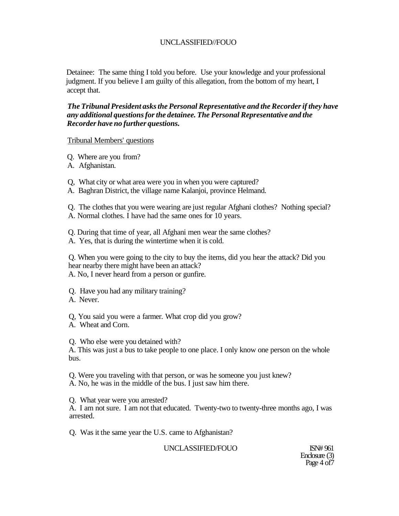Detainee: The same thing I told you before. Use your knowledge and your professional judgment. If you believe I am guilty of this allegation, from the bottom of my heart, I accept that.

*The Tribunal President asks the Personal Representative and the Recorder if they have any additional questions for the detainee. The Personal Representative and the Recorder have no further questions.* 

#### Tribunal Members' questions

Q. Where are you from?

A. Afghanistan.

Q, What city or what area were you in when you were captured?

A. Baghran District, the village name Kalanjoi, province Helmand.

Q. The clothes that you were wearing are just regular Afghani clothes? Nothing special? A. Normal clothes. I have had the same ones for 10 years.

Q. During that time of year, all Afghani men wear the same clothes?

A. Yes, that is during the wintertime when it is cold.

Q. When you were going to the city to buy the items, did you hear the attack? Did you hear nearby there might have been an attack? A. No, I never heard from a person or gunfire.

Q. Have you had any military training?

A. Never.

Q, You said you were a farmer. What crop did you grow?

A. Wheat and Corn.

Q. Who else were you detained with?

A. This was just a bus to take people to one place. I only know one person on the whole bus.

Q. Were you traveling with that person, or was he someone you just knew? A. No, he was in the middle of the bus. I just saw him there.

Q. What year were you arrested?

A. I am not sure. I am not that educated. Twenty-two to twenty-three months ago, I was arrested.

Q. Was it the same year the U.S. came to Afghanistan?

UNCLASSIFIED/FOUO ISN# 961

Enclosure (3) Page 4 of 7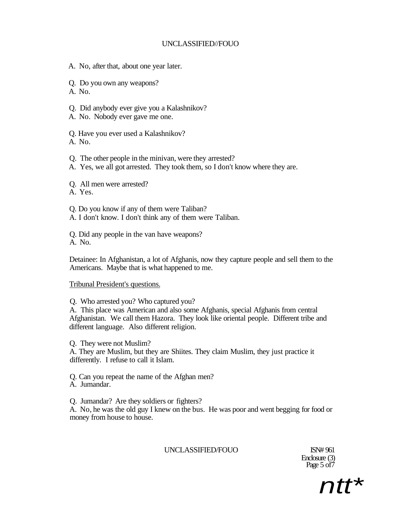- A. No, after that, about one year later.
- Q. Do you own any weapons?
- A. No.
- Q. Did anybody ever give you a Kalashnikov?
- A. No. Nobody ever gave me one.
- Q. Have you ever used a Kalashnikov? A. No.
- Q. The other people in the minivan, were they arrested?
- A. Yes, we all got arrested. They took them, so I don't know where they are.
- Q. All men were arrested?
- A. Yes.
- Q. Do you know if any of them were Taliban?
- A. I don't know. I don't think any of them were Taliban.
- Q. Did any people in the van have weapons? A. No.
- Detainee: In Afghanistan, a lot of Afghanis, now they capture people and sell them to the Americans. Maybe that is what happened to me.

## Tribunal President's questions.

- Q. Who arrested you? Who captured you?
- A. This place was American and also some Afghanis, special Afghanis from central Afghanistan. We call them Hazora. They look like oriental people. Different tribe and different language. Also different religion.
- Q. They were not Muslim?
- A. They are Muslim, but they are Shiites. They claim Muslim, they just practice it differently. I refuse to call it Islam.
- Q. Can you repeat the name of the Afghan men? A. Jumandar.
- Q. Jumandar? Are they soldiers or fighters?
- A. No, he was the old guy I knew on the bus. He was poor and went begging for food or money from house to house.

# UNCLASSIFIED/FOUO ISN# 961

Enclosure (3) Page 5 of7

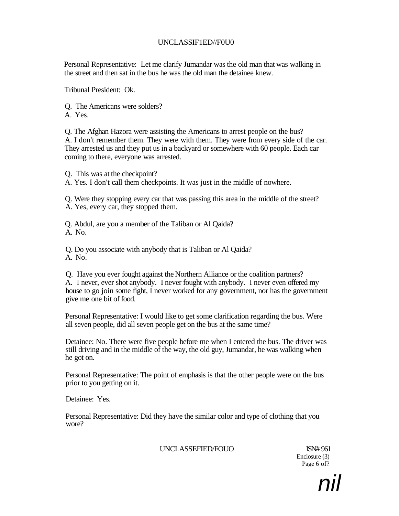## UNCLASSIF1ED//F0U0

Personal Representative: Let me clarify Jumandar was the old man that was walking in the street and then sat in the bus he was the old man the detainee knew.

Tribunal President: Ok.

Q. The Americans were solders? A. Yes.

Q. The Afghan Hazora were assisting the Americans to arrest people on the bus? A. I don't remember them. They were with them. They were from every side of the car. They arrested us and they put us in a backyard or somewhere with 60 people. Each car coming to there, everyone was arrested.

Q. This was at the checkpoint?

A. Yes. I don't call them checkpoints. It was just in the middle of nowhere.

Q. Were they stopping every car that was passing this area in the middle of the street? A. Yes, every car, they stopped them.

Q. Abdul, are you a member of the Taliban or Al Qaida? A. No.

Q. Do you associate with anybody that is Taliban or Al Qaida? A. No.

Q. Have you ever fought against the Northern Alliance or the coalition partners? A. I never, ever shot anybody. I never fought with anybody. I never even offered my house to go join some fight, I never worked for any government, nor has the government give me one bit of food.

Personal Representative: I would like to get some clarification regarding the bus. Were all seven people, did all seven people get on the bus at the same time?

Detainee: No. There were five people before me when I entered the bus. The driver was still driving and in the middle of the way, the old guy, Jumandar, he was walking when he got on.

Personal Representative: The point of emphasis is that the other people were on the bus prior to you getting on it.

Detainee: Yes.

Personal Representative: Did they have the similar color and type of clothing that you wore?

UNCLASSEFIED/FOUO ISN# 961

Enclosure (3) Page 6 of?

nil